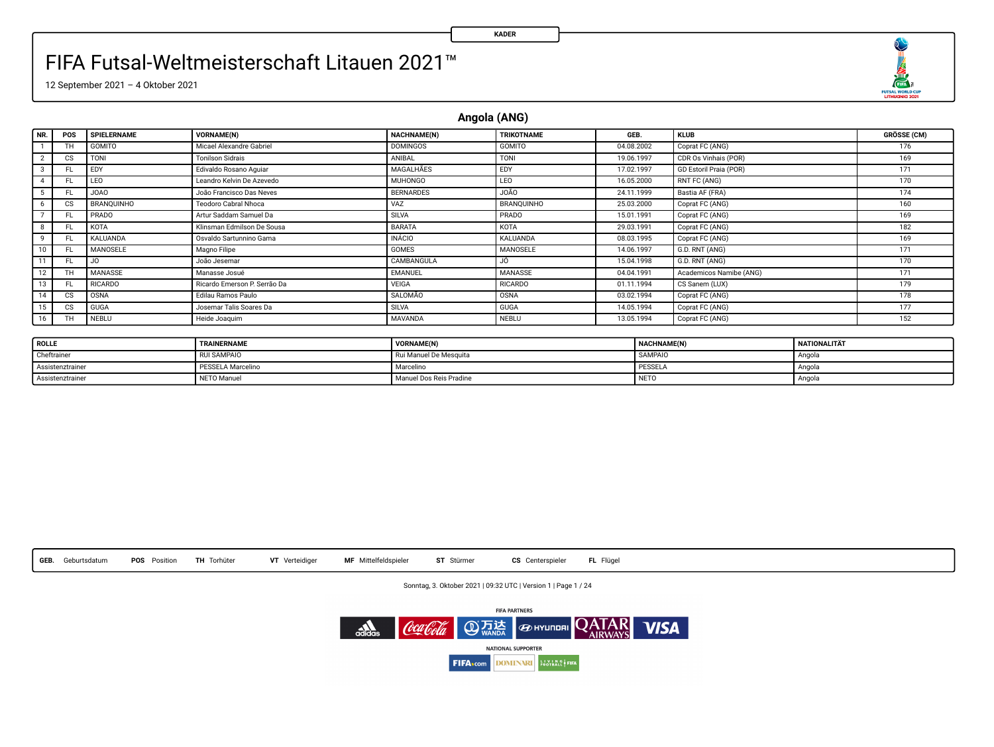12 September 2021 – 4 Oktober 2021

**Angola (ANG)**

| <b>NR</b> | POS | SPIELERNAME    | <b>VORNAME(N)</b>            | NACHNAME(N)      | TRIKOTNAME     | GEB.       | <b>KLUB</b>             | GRÖSSE (CM) |
|-----------|-----|----------------|------------------------------|------------------|----------------|------------|-------------------------|-------------|
|           | TH  | GOMITO         | Micael Alexandre Gabriel     | <b>DOMINGOS</b>  | GOMITO         | 04.08.2002 | Coprat FC (ANG)         | 176         |
|           | CS  | TONI           | <b>Tonilson Sidrais</b>      | ANIBAL           | TONI           | 19.06.1997 | CDR Os Vinhais (POR)    | 169         |
|           | F1  | EDY            | Edivaldo Rosano Aguiar       | MAGALHÃES        | EDY            | 17.02.1997 | GD Estoril Praia (POR)  | 171         |
|           | FL  | LEO            | Leandro Kelvin De Azevedo    | MUHONGO          | LEO            | 16.05.2000 | RNT FC (ANG)            | 170         |
|           | FL  | JOA0           | João Francisco Das Neves     | <b>BERNARDES</b> | OÃO.           | 24.11.1999 | Bastia AF (FRA)         | 174         |
|           | CS  | BRANQUINHO     | Teodoro Cabral Nhoca         | VAZ              | BRANOUINHO     | 25.03.2000 | Coprat FC (ANG)         | 160         |
|           | FI  | PRADO          | Artur Saddam Samuel Da       | <b>SILVA</b>     | PRADO          | 15.01.1991 | Coprat FC (ANG)         | 169         |
|           | FI  | KOTA           | Klinsman Edmilson De Sousa   | <b>BARATA</b>    | KOTA           | 29.03.1991 | Coprat FC (ANG)         | 182         |
|           | F1  | KALUANDA       | Osvaldo Sartunnino Gama      | <b>INÁCIO</b>    | KALUANDA       | 08.03.1995 | Coprat FC (ANG)         | 169         |
|           | FI. | MANOSELE       | Magno Filipe                 | <b>GOMES</b>     | MANOSELE       | 14.06.1997 | G.D. RNT (ANG)          | 171         |
|           | FI  | JO.            | João Jesemar                 | CAMBANGULA       | JÓ             | 15.04.1998 | G.D. RNT (ANG)          | 170         |
| 12        | TH  | MANASSE        | Manasse Josué                | EMANUEL          | MANASSE        | 04.04.1991 | Academicos Namibe (ANG) | 171         |
| 13        | FI. | <b>RICARDO</b> | Ricardo Emerson P. Serrão Da | VEIGA            | <b>RICARDO</b> | 01.11.1994 | CS Sanem (LUX)          | 179         |
| 14        | CS  | <b>OSNA</b>    | Edilau Ramos Paulo           | SALOMÃO          | OSNA           | 03.02.1994 | Coprat FC (ANG)         | 178         |
| 15        | CS  | GUGA           | Josemar Talis Soares Da      | SILVA            | <b>GUGA</b>    | 14.05.1994 | Coprat FC (ANG)         | 177         |
| 16        | TH  | NEBLU          | Heide Joaquim                | MAVANDA          | NEBLU          | 13.05.1994 | Coprat FC (ANG)         | 152         |
|           |     |                |                              |                  |                |            |                         |             |

| ROLLE            | TRAINERNAME              | VORNAME(N)              | NACHNAME(N)      | <b>NATIONALITÄT</b> |
|------------------|--------------------------|-------------------------|------------------|---------------------|
| Cheftrainer      | <b>RUI SAMPAIO</b>       | Rui Manuel De Mesquita  | SAMPAIO          | Angola              |
| Assistenztrainer | <b>PESSELA Marcelino</b> | Marceling               | <b>PESSEL</b>    | Angola              |
| Assistenztrainer | NETO Manuel              | Manuel Dos Reis Pradine | NET <sub>C</sub> | Angola              |

**GEB.** Geburtsdatum **POS** Position **TH** Torhüter **VT** Verteidiger **MF** Mittelfeldspieler **ST** Stürmer **CS** Centerspieler **FL** Flügel

Sonntag, 3. Oktober 2021 | 09:32 UTC | Version 1 | Page 1 / 24



**KADER**

**THE CONTRACTOR**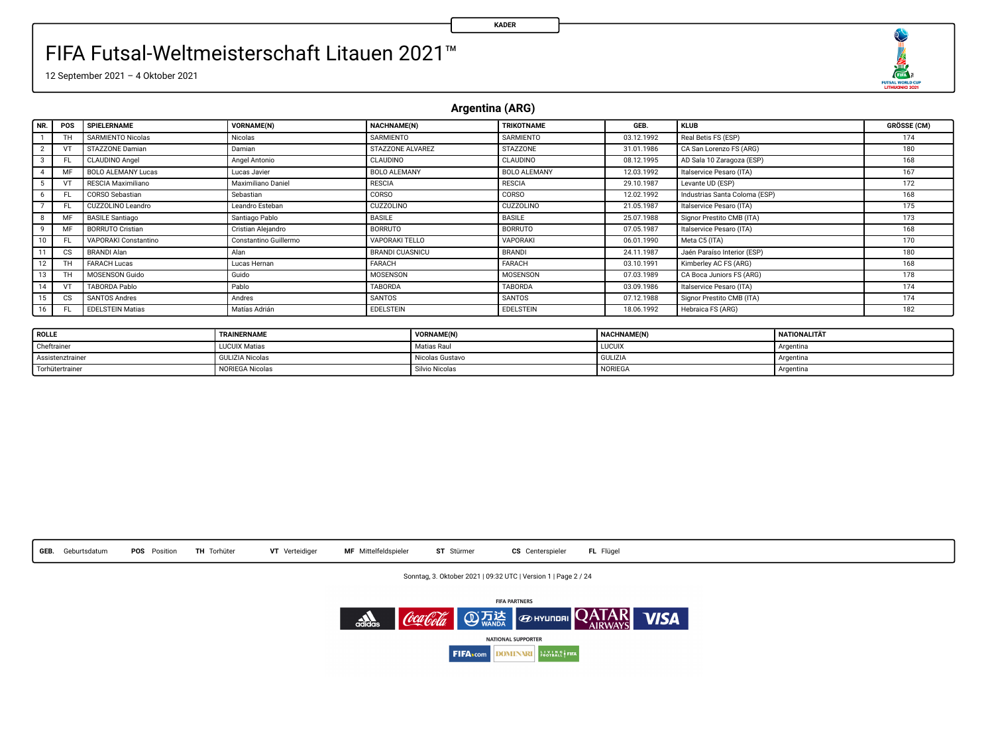۹ 

12 September 2021 – 4 Oktober 2021

**Argentina (ARG)**

| NR.            | POS       | SPIELERNAME               | <b>VORNAME(N)</b>     | NACHNAME(N)            | TRIKOTNAME          | GEB.       | <b>KLUB</b>                   | <b>GRÖSSE (CM)</b> |
|----------------|-----------|---------------------------|-----------------------|------------------------|---------------------|------------|-------------------------------|--------------------|
|                |           | <b>SARMIENTO Nicolas</b>  | Nicolas               | SARMIENTO              | SARMIENTO           | 03.12.1992 | Real Betis FS (ESP)           | 174                |
| $\overline{2}$ |           | STAZZONE Damian           | Damian                | STAZZONE ALVAREZ       | <b>STAZZONE</b>     | 31.01.1986 | CA San Lorenzo FS (ARG)       | 180                |
| 3              | FL        | <b>CLAUDINO Angel</b>     | Angel Antonio         | CLAUDINO               | <b>CLAUDINO</b>     | 08.12.1995 | AD Sala 10 Zaragoza (ESP)     | 168                |
| 4              |           | <b>BOLO ALEMANY Lucas</b> | Lucas Javier          | <b>BOLO ALEMANY</b>    | <b>BOLO ALEMANY</b> | 12.03.1992 | Italservice Pesaro (ITA)      | 167                |
|                |           | RESCIA Maximiliano        | Maximiliano Daniel    | <b>RESCIA</b>          | <b>RESCIA</b>       | 29.10.1987 | Levante UD (ESP)              | 172                |
| 6              | FL.       | CORSO Sebastian           | Sebastian             | CORSO                  | CORSO               | 12.02.1992 | Industrias Santa Coloma (ESP) | 168                |
|                |           | CUZZOLINO Leandro         | Leandro Esteban       | CUZZOLINO              | <b>CUZZOLINO</b>    | 21.05.1987 | Italservice Pesaro (ITA)      | 175                |
| 8              | MF        | <b>BASILE Santiago</b>    | Santiago Pablo        | <b>BASILE</b>          | <b>BASILE</b>       | 25.07.1988 | Signor Prestito CMB (ITA)     | 173                |
| 9              | MF        | <b>BORRUTO Cristian</b>   | Cristian Aleiandro    | <b>BORRUTO</b>         | <b>BORRUTO</b>      | 07.05.1987 | Italservice Pesaro (ITA)      | 168                |
| 10             |           | VAPORAKI Constantino      | Constantino Guillermo | VAPORAKI TELLO         | VAPORAKI            | 06.01.1990 | Meta CS (ITA)                 | 170                |
| 11             | CS        | <b>BRANDI Alan</b>        | Alan                  | <b>BRANDI CUASNICU</b> | BRANDI              | 24.11.1987 | Jaén Paraíso Interior (ESP)   | 180                |
| 12             |           | <b>FARACH Lucas</b>       | Lucas Hernan          | FARACH                 | FARACH              | 03.10.1991 | Kimberley AC FS (ARG)         | 168                |
| 13             |           | <b>MOSENSON Guido</b>     | Guido                 | MOSENSON               | <b>MOSENSON</b>     | 07.03.1989 | CA Boca Juniors FS (ARG)      | 178                |
| 14             | VT        | TABORDA Pablo             | Pablo                 | <b>TABORDA</b>         | <b>TABORDA</b>      | 03.09.1986 | Italservice Pesaro (ITA)      | 174                |
| 15             | <b>CS</b> | SANTOS Andres             | Andres                | SANTOS                 | SANTOS              | 07.12.1988 | Signor Prestito CMB (ITA)     | 174                |
| 16             |           | <b>EDELSTEIN Matias</b>   | Matias Adrián         | <b>EDELSTEIN</b>       | EDELSTEIN           | 18.06.1992 | Hebraica FS (ARG)             | 182                |

| <b>ROLLE</b>     | TRAINERNAME            | <b>VORNAME(N)</b> | <b>NACHNAME(N)</b> | <b>NATIONALITÄT</b> |
|------------------|------------------------|-------------------|--------------------|---------------------|
| Cheftrainer      | <b>LUCUIX Matias</b>   | Matias Raul       | <b>LUCUIX</b>      | Argentina           |
| Assistenztrainer | <b>GULIZIA Nicolas</b> | Nicolas Gustavo   | <b>GULIZIA</b>     | Argentina           |
| Torhütertrainer  | NORIEGA Nicolas        | Silvio Nicolas    | NORIEGA            | Argentina           |



Sonntag, 3. Oktober 2021 | 09:32 UTC | Version 1 | Page 2 / 24

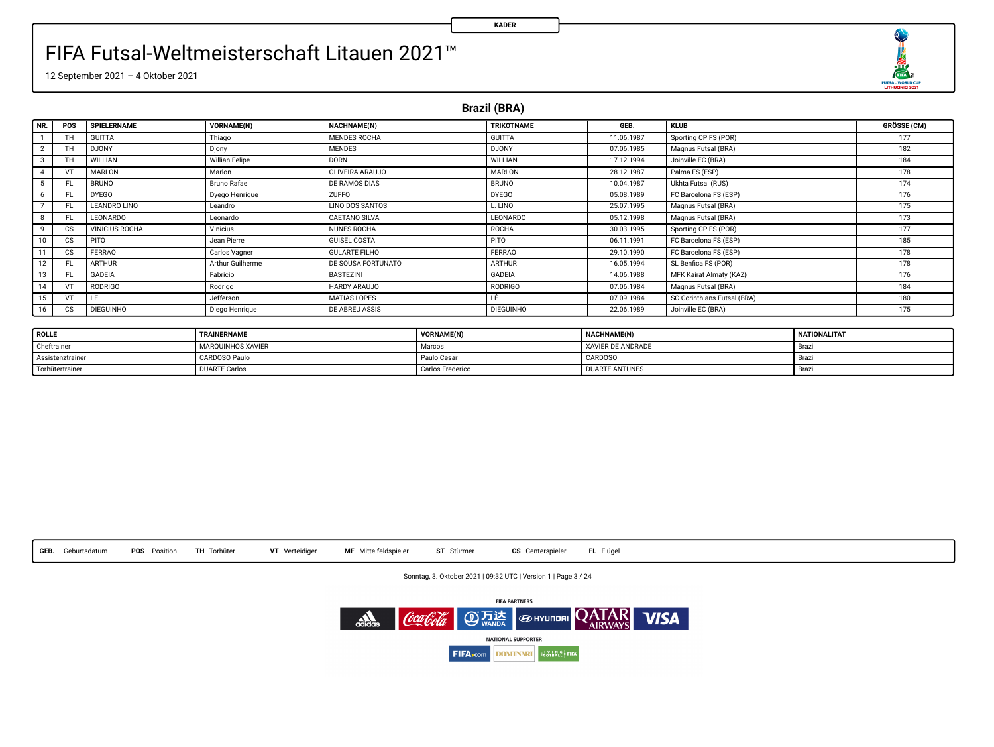

12 September 2021 – 4 Oktober 2021

**Brazil (BRA)**

| NR. | POS                    | SPIELERNAME           | <b>VORNAME(N)</b>   | NACHNAME(N)           | TRIKOTNAME       | GEB.       | <b>KLUB</b>                 | <b>GRÖSSE (CM)</b> |
|-----|------------------------|-----------------------|---------------------|-----------------------|------------------|------------|-----------------------------|--------------------|
|     | TH.                    | <b>GUITTA</b>         | Thiago              | MENDES ROCHA          | <b>GUITTA</b>    | 11.06.1987 | Sporting CP FS (POR)        | 177                |
| -   | ΤН                     | <b>DJONY</b>          | Djony               | <b>MENDES</b>         | <b>DJONY</b>     | 07.06.1985 | Magnus Futsal (BRA)         | 182                |
|     | TH                     | WILLIAN               | Willian Felipe      | <b>DORN</b>           | <b>WILLIAN</b>   | 17.12.1994 | Joinville EC (BRA)          | 184                |
|     | VT                     | MARLON                | Marlon              | OLIVEIRA ARAUJO       | <b>MARLON</b>    | 28.12.1987 | Palma FS (ESP)              | 178                |
|     |                        | <b>BRUNO</b>          | <b>Bruno Rafael</b> | DE RAMOS DIAS         | <b>BRUNO</b>     | 10.04.1987 | Ukhta Futsal (RUS)          | 174                |
| 6   | FL.                    | <b>DYEGO</b>          | Dyego Henrique      | ZUFFO                 | <b>DYEGO</b>     | 05.08.1989 | FC Barcelona FS (ESP)       | 176                |
|     | FL.                    | LEANDRO LINO          | Leandro             | LINO DOS SANTOS       | L LINO           | 25.07.1995 | Magnus Futsal (BRA)         | 175                |
|     | FL.                    | LEONARDO              | Leonardo            | CAETANO SILVA         | <b>LEONARDO</b>  | 05.12.1998 | Magnus Futsal (BRA)         | 173                |
|     | CS.                    | <b>VINICIUS ROCHA</b> | Vinicius            | NUNES ROCHA           | ROCHA            | 30.03.1995 | Sporting CP FS (POR)        | 177                |
| 10  | $\overline{\text{cs}}$ | PITO                  | Jean Pierre         | <b>GUISEL COSTA</b>   | PITO             | 06.11.1991 | FC Barcelona FS (ESP)       | 185                |
|     | CS.                    | FERRAO                | Carlos Vagner       | <b>GULARTE FILHO</b>  | FERRAO           | 29.10.1990 | FC Barcelona FS (ESP)       | 178                |
| 12  | FL.                    | <b>ARTHUR</b>         | Arthur Guilherme    | DE SOUSA FORTUNATO    | <b>ARTHUR</b>    | 16.05.1994 | SL Benfica FS (POR)         | 178                |
|     | FL.                    | GADEIA                | Fabricio            | <b>BASTEZINI</b>      | <b>GADEIA</b>    | 14.06.1988 | MFK Kairat Almaty (KAZ)     | 176                |
|     | VT                     | RODRIGO               | Rodrigo             | HARDY ARAUJO          | <b>RODRIGO</b>   | 07.06.1984 | Magnus Futsal (BRA)         | 184                |
| 15  | VT                     | LE                    | Jefferson           | MATIAS LOPES          | LÉ               | 07.09.1984 | SC Corinthians Futsal (BRA) | 180                |
| 16  | $\overline{\text{cs}}$ | <b>DIEGUINHO</b>      | Diego Henrique      | <b>DE ABREU ASSIS</b> | <b>DIEGUINHO</b> | 22.06.1989 | Joinville EC (BRA)          | 175                |

| <b>ROLLE</b>     | TRAINERNAME              | VORNAME(N)       | <b>NACHNAME(N)</b>       | <b>NATIONALITÄT</b> |
|------------------|--------------------------|------------------|--------------------------|---------------------|
| Cheftrainer      | <b>MAROUINHOS XAVIER</b> | Marcos           | <b>XAVIER DE ANDRADE</b> | Brazi               |
| Assistenztrainer | CARDOSO Paulo            | Paulo Cesar      | CARDOSO                  | Brazi               |
| Torhütertrainer  | <b>DUARTE Carlos</b>     | Carlos Frederico | <b>DUARTE ANTUNES</b>    | Brazi               |



Sonntag, 3. Oktober 2021 | 09:32 UTC | Version 1 | Page 3 / 24

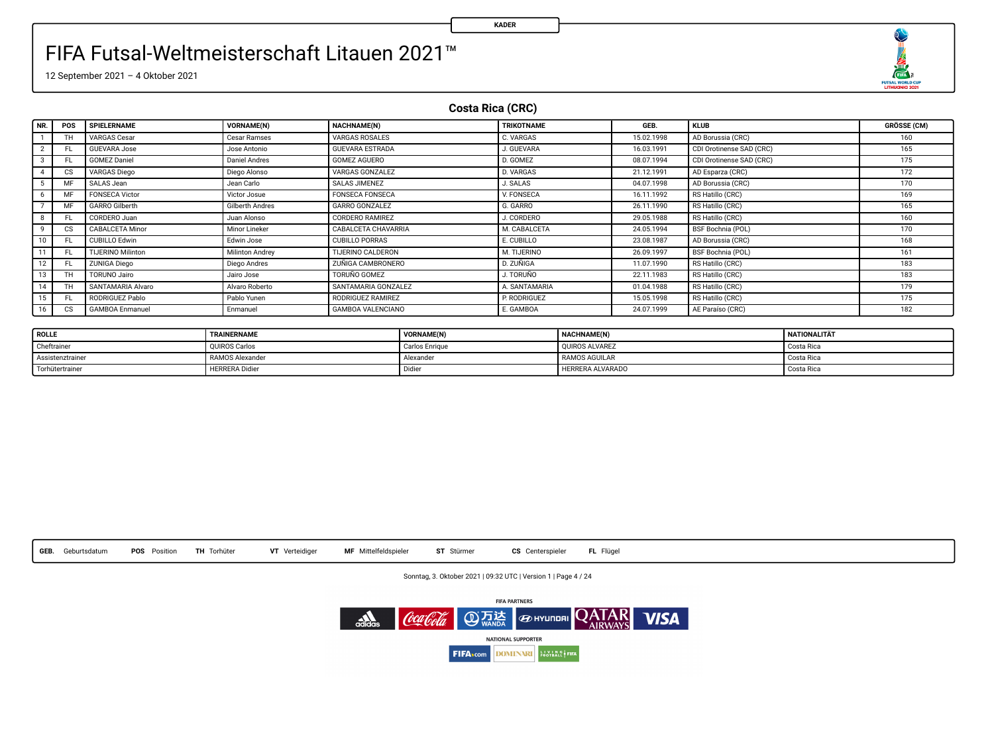

12 September 2021 – 4 Oktober 2021

**Costa Rica (CRC)**

| NR.     | <b>POS</b> | SPIELERNAME              | VORNAME(N)             | NACHNAME(N)            | TRIKOTNAME    | GEB.       | <b>KLUB</b>              | <b>GRÖSSE (CM)</b> |
|---------|------------|--------------------------|------------------------|------------------------|---------------|------------|--------------------------|--------------------|
|         | TH         | <b>VARGAS Cesar</b>      | Cesar Ramses           | VARGAS ROSALES         | C. VARGAS     | 15.02.1998 | AD Borussia (CRC)        | 160                |
|         | FL.        | <b>GUEVARA Jose</b>      | Jose Antonio           | <b>GUEVARA ESTRADA</b> | J. GUEVARA    | 16.03.1991 | CDI Orotinense SAD (CRC) | 165                |
|         | FL.        | <b>GOMEZ Daniel</b>      | <b>Daniel Andres</b>   | GOMEZ AGUERO           | D. GOMEZ      | 08.07.1994 | CDI Orotinense SAD (CRC) | 175                |
|         | <b>CS</b>  | <b>VARGAS Diego</b>      | Diego Alonso           | VARGAS GONZALEZ        | D. VARGAS     | 21.12.1991 | AD Esparza (CRC)         | 172                |
|         | MF         | SALAS Jean               | Jean Carlo             | <b>SALAS JIMENEZ</b>   | J. SALAS      | 04.07.1998 | AD Borussia (CRC)        | 170                |
|         | MF         | <b>FONSECA Victor</b>    | Victor Josue           | <b>FONSECA FONSECA</b> | V. FONSECA    | 16.11.1992 | RS Hatillo (CRC)         | 169                |
|         | MF.        | GARRO Gilberth           | <b>Gilberth Andres</b> | <b>GARRO GONZALEZ</b>  | G. GARRO      | 26.11.1990 | RS Hatillo (CRC)         | 165                |
| 8       | FL.        | CORDERO Juan             | Juan Alonso            | CORDERO RAMIREZ        | J. CORDERO    | 29.05.1988 | RS Hatillo (CRC)         | 160                |
| ۹       | <b>CS</b>  | CABALCETA Minor          | Minor Lineker          | CABALCETA CHAVARRIA    | M. CABALCETA  | 24.05.1994 | BSF Bochnia (POL)        | 170                |
| 10      | FL.        | <b>CUBILLO Edwin</b>     | Edwin Jose             | <b>CUBILLO PORRAS</b>  | E. CUBILLO    | 23.08.1987 | AD Borussia (CRC)        | 168                |
|         | FL.        | <b>TIJERINO Milinton</b> | Milinton Andrey        | TIJERINO CALDERON      | M. TIJERINO   | 26.09.1997 | BSF Bochnia (POL)        | 161                |
| $12-12$ | FL.        | <b>ZUNIGA Diego</b>      | Diego Andres           | ZUÑIGA CAMBRONERO      | D. ZUÑIGA     | 11.07.1990 | RS Hatillo (CRC)         | 183                |
| 13      | тн         | <b>TORUNO Jairo</b>      | Jairo Jose             | <b>TORUNO GOMEZ</b>    | J. TORUÑO     | 22.11.1983 | RS Hatillo (CRC)         | 183                |
|         | TH.        | SANTAMARIA Alvaro        | Alvaro Roberto         | SANTAMARIA GONZALEZ    | A. SANTAMARIA | 01.04.1988 | RS Hatillo (CRC)         | 179                |
| 15      | FL.        | RODRIGUEZ Pablo          | Pablo Yunen            | RODRIGUEZ RAMIREZ      | P. RODRIGUEZ  | 15.05.1998 | RS Hatillo (CRC)         | 175                |
| 16      | CS.        | <b>GAMBOA Enmanuel</b>   | Enmanuel               | GAMBOA VALENCIANO      | E. GAMBOA     | 24.07.1999 | AE Paraíso (CRC)         | 182                |

| <b>ROLLE</b>     | TRAINERNAME           | VORNAME(N)     | NACHNAME(N)      | <b>NATIONALITÄT</b> |
|------------------|-----------------------|----------------|------------------|---------------------|
| Cheftrainer      | OUIROS Carlos         | Carlos Enrique | OUIROS ALVAREZ   | Costa Rica          |
| Assistenztrainer | RAMOS Alexander       | Alexander      | RAMOS AGUILAR    | Costa Rica          |
| Torhütertrainer  | <b>HERRERA</b> Didier | Didie          | HERRERA ALVARADO | Costa Rica          |



Sonntag, 3. Oktober 2021 | 09:32 UTC | Version 1 | Page 4 / 24

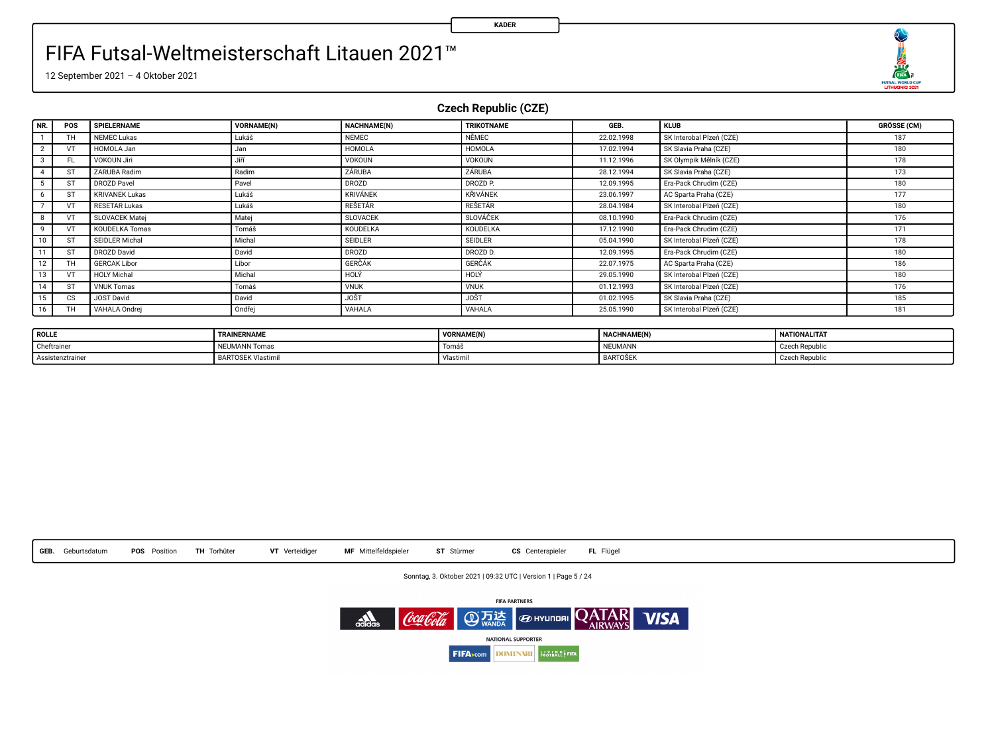

12 September 2021 – 4 Oktober 2021

**Czech Republic (CZE)**

| NR.            | POS       | SPIELERNAME           | VORNAME(N) | <b>NACHNAME(N)</b> | <b>TRIKOTNAME</b>  | GEB.       | <b>KLUB</b>              | <b>GRÖSSE (CM)</b> |
|----------------|-----------|-----------------------|------------|--------------------|--------------------|------------|--------------------------|--------------------|
|                | TH        | NEMEC Lukas           | Lukáš      | <b>NEMEC</b>       | NÉMEC              | 22.02.1998 | SK Interobal Plzeň (CZE) | 187                |
| $\overline{2}$ | VΤ        | HOMOLA Jan            | Jan        | <b>HOMOLA</b>      | HOMOLA             | 17.02.1994 | SK Slavia Praha (CZE)    | 180                |
|                | FL.       | VOKOUN Jiri           | Jiří       | VOKOUN             | VOKOUN             | 11.12.1996 | SK Olympik Mělník (CZE)  | 178                |
|                | ST        | ZARUBA Radim          | Radim      | ZÁRUBA             | ZÁRUBA             | 28.12.1994 | SK Slavia Praha (CZE)    | 173                |
|                | <b>ST</b> | DROZD Payel           | Pavel      | <b>DROZD</b>       | DROZD <sub>P</sub> | 12.09.1995 | Era-Pack Chrudim (CZE)   | 180                |
|                | ST        | <b>KRIVANEK Lukas</b> | Lukáš      | <b>KRIVÁNEK</b>    | <b>KRIVÁNEK</b>    | 23.06.1997 | AC Sparta Praha (CZE)    | 177                |
|                | VΤ        | <b>RESETAR Lukas</b>  | Lukáš      | RESETÁR            | <b>RESETAR</b>     | 28.04.1984 | SK Interobal Pizen (CZE) | 180                |
|                | VT        | SLOVACEK Matei        | Matej      | <b>SLOVACEK</b>    | SLOVÁČEK           | 08.10.1990 | Era-Pack Chrudim (CZE)   | 176                |
| $\mathbf{Q}$   | VT        | <b>KOUDELKA Tomas</b> | Tomáš      | KOUDELKA           | KOUDELKA           | 17.12.1990 | Era-Pack Chrudim (CZE)   | 171                |
| 10             | ST        | SEIDLER Michal        | Michal     | SEIDLER            | <b>SEIDLER</b>     | 05.04.1990 | SK Interobal Pizen (CZE) | 178                |
| 11             | ST        | DROZD David           | David      | DROZD              | DROZD D.           | 12.09.1995 | Era-Pack Chrudim (CZE)   | 180                |
| 12             | TH.       | <b>GERCAK Libor</b>   | Libor      | <b>GERCAK</b>      | <b>GERCAK</b>      | 22.07.1975 | AC Sparta Praha (CZE)    | 186                |
| 13             | VT        | <b>HOLY Michal</b>    | Michal     | HOLY               | HOLY               | 29.05.1990 | SK Interobal Pizen (CZE) | 180                |
| 14             | ST        | <b>VNUK Tomas</b>     | Tomáš      | <b>VNUK</b>        | <b>VNUK</b>        | 01.12.1993 | SK Interobal Plzeň (CZE) | 176                |
| 15             | <b>CS</b> | JOST David            | David      | <b>JOST</b>        | <b>JOST</b>        | 01.02.1995 | SK Slavia Praha (CZE)    | 185                |
| 16             | TH.       | VAHALA Ondrei         | Ondřei     | VAHALA             | VAHALA             | 25.05.1990 | SK Interobal Pizen (CZE) | 181                |

| <b>ROLLE</b>     | TRAINERNAME        | VORNAME(N) | NACHNAME(N) | NATIONALITÄT   |
|------------------|--------------------|------------|-------------|----------------|
| Cheftrainer      | NEUMANN Tomas      | I omas     | NEUMANN     | Czech Republi  |
| Assistenztrainer | BARTOSEK Vlastimil | Vlastimu   | BARTOŠEK    | Czech Republi- |



Sonntag, 3. Oktober 2021 | 09:32 UTC | Version 1 | Page 5 / 24

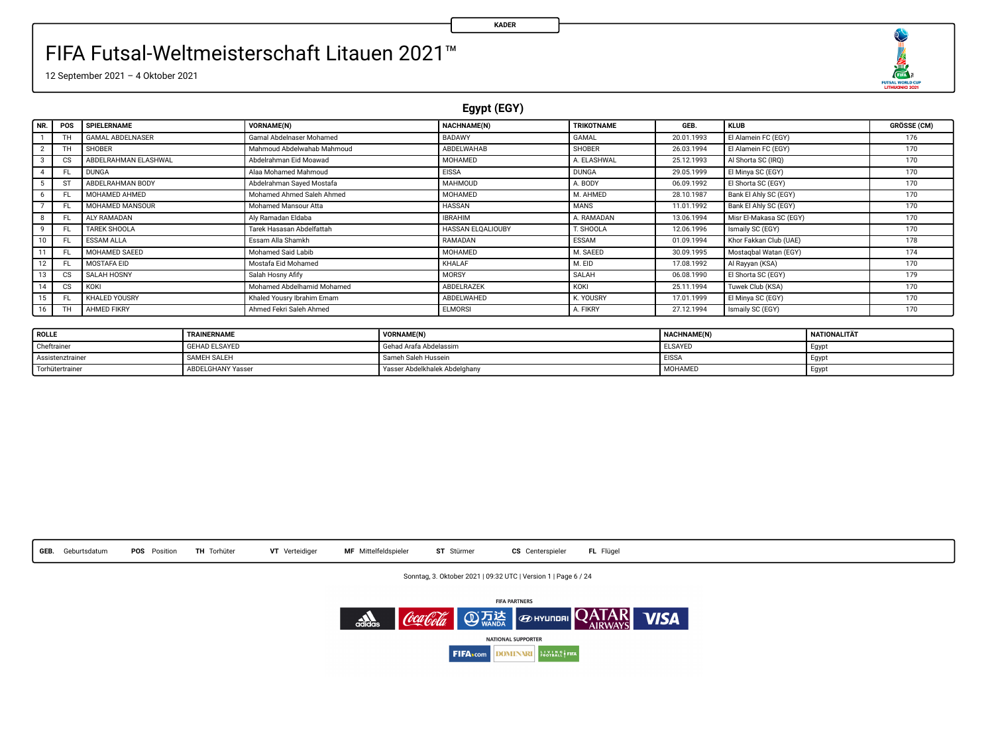O  $\begin{array}{r}\n\overbrace{\text{max}} \\
\overbrace{\text{max}} \\
\overbrace{\text{maxmax}} \\
\overbrace{\text{maxmax}} \\
\overbrace{\text{max}} \\
\overbrace{\text{max}} \\
\overbrace{\text{max}} \\
\overbrace{\text{max}} \\
\overbrace{\text{max}} \\
\overbrace{\text{max}} \\
\overbrace{\text{max}} \\
\overbrace{\text{max}} \\
\overbrace{\text{max}} \\
\overbrace{\text{max}} \\
\overbrace{\text{max}} \\
\overbrace{\text{max}} \\
\overbrace{\text{max}} \\
\overbrace{\text{max}} \\
\overbrace{\text{max}} \\
\overbrace{\text{max}} \\
\overbrace{\text{max}} \\
\overbrace{\text{max}} \\
\overbrace{\text{max}} \\
\overbrace$ 

12 September 2021 – 4 Oktober 2021

**Egypt (EGY)**

| NR.            | POS       | SPIELERNAME          | VORNAME(N)                 | NACHNAME(N)       | TRIKOTNAME    | GEB.       | <b>KLUB</b>             | <b>GRÖSSE (CM)</b> |
|----------------|-----------|----------------------|----------------------------|-------------------|---------------|------------|-------------------------|--------------------|
|                |           | GAMAL ARDELNASER     | Gamal Abdelnaser Mohamed   | BADAWY            | GAMAL         | 20.01.1993 | El Alamein FC (EGY)     | 176                |
| $\overline{2}$ |           | <b>SHOBER</b>        | Mahmoud Abdelwahab Mahmoud | ABDELWAHAB        | <b>SHOBER</b> | 26.03.1994 | El Alamein FC (EGY)     | 170                |
|                | CS        | ABDELRAHMAN ELASHWAL | Abdelrahman Eid Moawad     | MOHAMED           | A. ELASHWAL   | 25.12.1993 | Al Shorta SC (IRO)      | 170                |
|                |           | <b>DUNGA</b>         | Alaa Mohamed Mahmoud       | <b>EISSA</b>      | <b>DUNGA</b>  | 29.05.1999 | El Minya SC (EGY)       | 170                |
|                |           | ABDELRAHMAN BODY     | Abdelrahman Saved Mostafa  | MAHMOUD           | A. BODY       | 06.09.1992 | El Shorta SC (EGY)      | 170                |
|                |           | MOHAMED AHMED        | Mohamed Ahmed Saleh Ahmed  | MOHAMED           | M. AHMED      | 28.10.1987 | Bank El Ahly SC (EGY)   | 170                |
|                |           | MOHAMED MANSOUR      | Mohamed Mansour Atta       | <b>HASSAN</b>     | <b>MANS</b>   | 11.01.1992 | Bank El Ahly SC (EGY)   | 170                |
|                | FL.       | ALY RAMADAN          | Alv Ramadan Eldaba         | <b>IBRAHIM</b>    | A. RAMADAN    | 13.06.1994 | Misr El-Makasa SC (EGY) | 170                |
| ٠              | FL        | TAREK SHOOLA         | Tarek Hasasan Abdelfattah  | HASSAN ELOALIOUBY | T. SHOOLA     | 12.06.1996 | Ismaily SC (EGY)        | 170                |
| 10             |           | <b>ESSAM ALLA</b>    | Essam Alla Shamkh          | RAMADAN           | <b>ESSAM</b>  | 01.09.1994 | Khor Fakkan Club (UAE)  | 178                |
| 11             | FL.       | MOHAMED SAEED        | Mohamed Said Labib         | MOHAMED           | M. SAEED      | 30.09.1995 | Mostagbal Watan (EGY)   | 174                |
| 12             | FL.       | MOSTAFA EID          | Mostafa Eid Mohamed        | KHALAF            | M. EID        | 17.08.1992 | Al Rayyan (KSA)         | 170                |
| 13             | CS.       | SALAH HOSNY          | Salah Hosny Afify          | MORSY             | SALAH         | 06.08.1990 | El Shorta SC (EGY)      | 179                |
| 14             | <b>CS</b> | KOKI                 | Mohamed Abdelhamid Mohamed | ABDELRAZEK        | KOKI          | 25.11.1994 | Tuwek Club (KSA)        | 170                |
| 15             | FL.       | KHALED YOUSRY        | Khaled Yousry Ibrahim Emam | ABDELWAHED        | K. YOUSRY     | 17.01.1999 | El Minya SC (EGY)       | 170                |
| 16             |           | AHMED FIKRY          | Ahmed Fekri Saleh Ahmed    | <b>ELMORSI</b>    | A. FIKRY      | 27.12.1994 | Ismaily SC (EGY)        | 170                |

| ROLLE            | TRAINERNAME              | <b>VORNAME(N)</b>             | <b>NACHNAME(N)</b> | NATIONALITÄT      |
|------------------|--------------------------|-------------------------------|--------------------|-------------------|
| Cheftraine       | <b>GEHAD ELSAYED</b>     | Gehad Arafa Abdelassim        | <b>ELSAYED</b>     | <b>Lavo</b>       |
| Assistenztrainer | SAMEH SALEH              | Sameh Saleh Hussein           | <b>EISSA</b>       | . Lavo            |
| Torhütertrainer  | <b>ABDELGHANY Yasser</b> | Yasser Abdelkhalek Abdelghany | MOHAMED            | Eavo <sup>1</sup> |



Sonntag, 3. Oktober 2021 | 09:32 UTC | Version 1 | Page 6 / 24

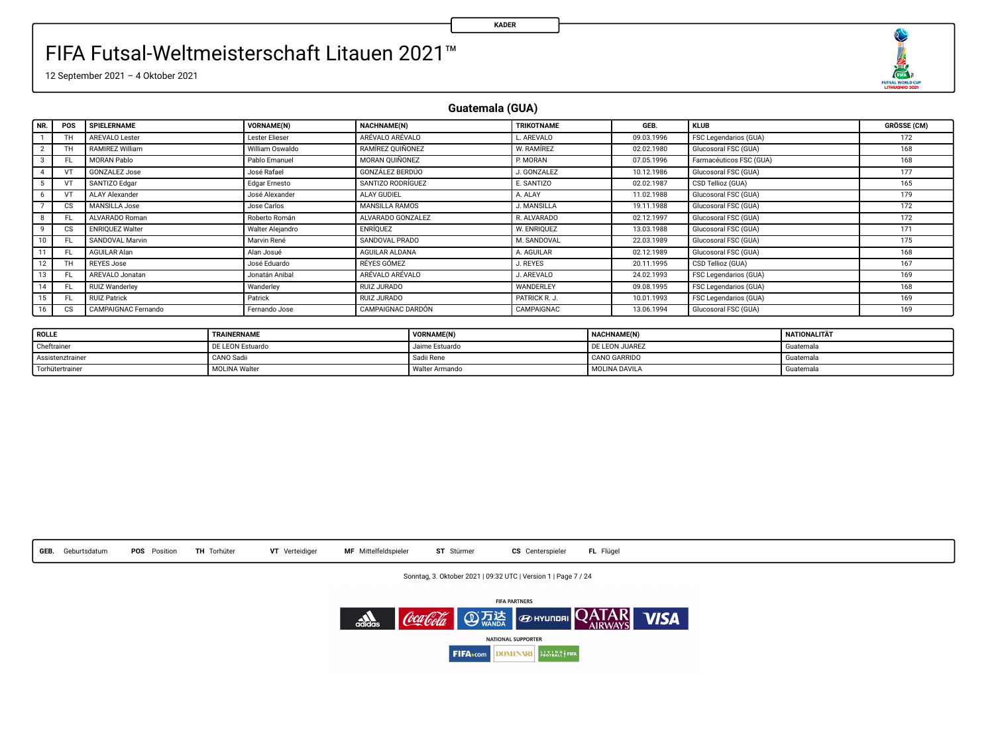

12 September 2021 – 4 Oktober 2021

**Guatemala (GUA)**

| NR. | POS       | SPIELERNAME            | <b>VORNAME(N)</b> | NACHNAME(N)           | TRIKOTNAME    | GEB.       | <b>KLUB</b>             | <b>GRÖSSE (CM)</b> |
|-----|-----------|------------------------|-------------------|-----------------------|---------------|------------|-------------------------|--------------------|
|     | <b>TH</b> | AREVALO Lester         | Lester Elieser    | ARÉVALO ARÉVALO       | AREVALO       | 09.03.1996 | FSC Legendarios (GUA)   | 172                |
|     | <b>TH</b> | RAMIREZ William        | William Oswaldo   | RAMÍREZ OUIÑONEZ      | W. RAMÍREZ    | 02.02.1980 | Glucosoral FSC (GUA)    | 168                |
|     | FL.       | MORAN Pablo            | Pablo Emanuel     | MORAN OUIÑONEZ        | P. MORAN      | 07.05.1996 | Farmacéuticos FSC (GUA) | 168                |
|     | VT        | <b>GONZALEZ Jose</b>   | José Rafael       | GONZÁLEZ BERDÚO       | J. GONZALEZ   | 10.12.1986 | Glucosoral FSC (GUA)    | 177                |
|     |           | SANTIZO Edgar          | Edgar Ernesto     | SANTIZO RODRÍGUEZ     | E. SANTIZO    | 02.02.1987 | CSD Tellioz (GUA)       | 165                |
|     | VT        | <b>ALAY Alexander</b>  | José Alexander    | ALAY GUDIEL           | A. ALAY       | 11.02.1988 | Glucosoral FSC (GUA)    | 179                |
|     | <b>CS</b> | MANSILLA Jose          | Jose Carlos       | <b>MANSILLA RAMOS</b> | J. MANSILLA   | 19.11.1988 | Glucosoral FSC (GUA)    | 172                |
|     |           | ALVARADO Roman         | Roberto Román     | ALVARADO GONZALEZ     | R. ALVARADO   | 02.12.1997 | Glucosoral FSC (GUA)    | 172                |
|     | <b>CS</b> | <b>ENRIQUEZ Walter</b> | Walter Aleiandro  | ENRÍOUEZ              | W. ENRIOUEZ   | 13.03.1988 | Glucosoral FSC (GUA)    | 171                |
| 10  | FL.       | SANDOVAL Marvin        | Marvin René       | SANDOVAL PRADO        | M. SANDOVAL   | 22.03.1989 | Glucosoral FSC (GUA)    | 175                |
| 11  | FL.       | AGUILAR Alan           | Alan Josué        | AGUILAR ALDANA        | A. AGUILAR    | 02.12.1989 | Glucosoral FSC (GUA)    | 168                |
| 12  | TH        | <b>REYES Jose</b>      | José Eduardo      | RÉYES GÓMEZ           | J. REYES      | 20.11.1995 | CSD Tellioz (GUA)       | 167                |
| 13  | FL.       | AREVALO Jonatan        | Jonatán Anibal    | ARÉVALO ARÉVALO       | J. AREVALO    | 24.02.1993 | FSC Legendarios (GUA)   | 169                |
| 14  | FL.       | <b>RUIZ Wanderley</b>  | Wanderley         | RUIZ JURADO           | WANDERLEY     | 09.08.1995 | FSC Legendarios (GUA)   | 168                |
| 15  | FL.       | <b>RUIZ Patrick</b>    | Patrick           | RUIZ JURADO           | PATRICK R. J. | 10.01.1993 | FSC Legendarios (GUA)   | 169                |
| 16  | <b>CS</b> | CAMPAIGNAC Fernando    | Fernando Jose     | CAMPAIGNAC DARDÓN     | CAMPAIGNAC    | 13.06.1994 | Glucosoral FSC (GUA)    | 169                |

| <b>ROLLE</b>     | TRAINERNAME          | VORNAME(N)     | <b>NACHNAME(N)</b> | <b>NATIONALITÄT</b> |
|------------------|----------------------|----------------|--------------------|---------------------|
| Cheftrainer      | DE LEON Estuardo     | Jaime Estuardo | DE LEON JUAREZ     | Guatemala           |
| Assistenztrainer | CANO Sadii           | Sadii Rene     | CANO GARRIDO       | Guatemala           |
| Torhütertrainer  | <b>MOLINA Walter</b> | Walter Armando | MOLINA DAVILA      | Guatemala           |



Sonntag, 3. Oktober 2021 | 09:32 UTC | Version 1 | Page 7 / 24

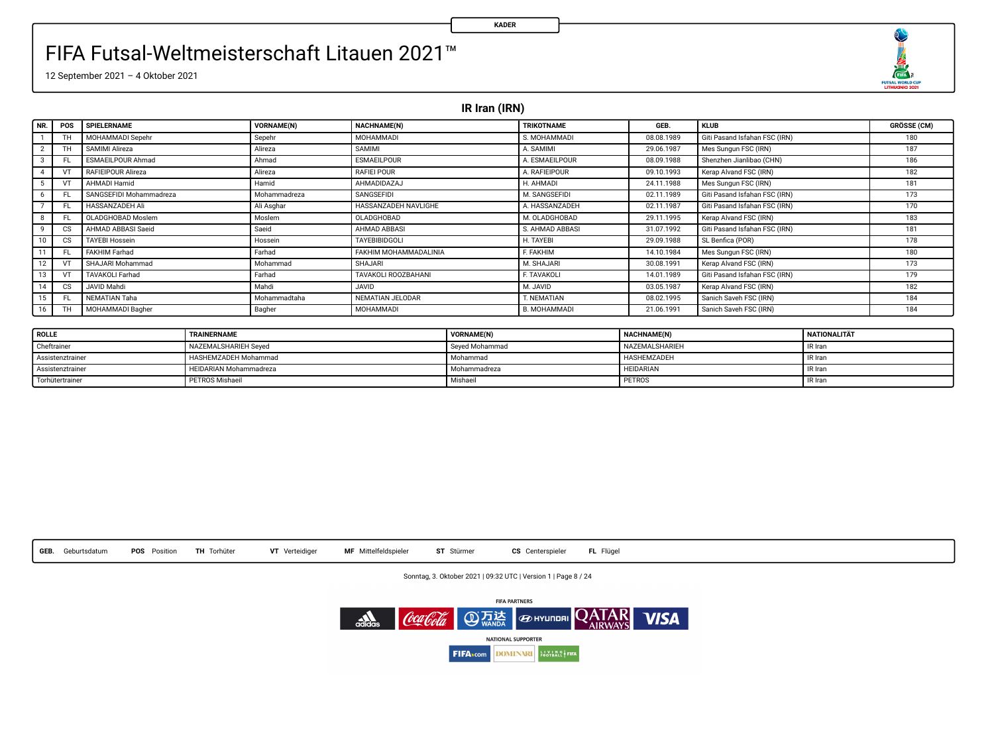O 

12 September 2021 – 4 Oktober 2021

**IR Iran (IRN)**

| NR. | <b>POS</b>             | SPIELERNAME             | <b>VORNAME(N)</b> | <b>NACHNAME(N)</b>    | TRIKOTNAME          | <b>GFR</b> | <b>KLUB</b>                   | <b>GRÖSSE (CM)</b> |
|-----|------------------------|-------------------------|-------------------|-----------------------|---------------------|------------|-------------------------------|--------------------|
|     | TH                     | MOHAMMADI Sepehr        | Sepehr            | MOHAMMADI             | S. MOHAMMADI        | 08.08.1989 | Giti Pasand Isfahan FSC (IRN) | 180                |
|     |                        | SAMIMI Alireza          | Alireza           | <b>SAMIMI</b>         | A. SAMIMI           | 29.06.1987 | Mes Sungun FSC (IRN)          | 187                |
|     | F1                     | ESMAEILPOUR Ahmad       | Ahmad             | <b>ESMAEILPOUR</b>    | A. ESMAEILPOUR      | 08.09.1988 | Shenzhen Jianlibao (CHN)      | 186                |
| 4   |                        | RAFIEIPOUR Alireza      | Alireza           | RAFIEI POUR           | A. RAFIEIPOUR       | 09.10.1993 | Kerap Alvand FSC (IRN)        | 182                |
|     |                        | AHMADI Hamid            | Hamid             | AHMADIDAZAJ           | H. AHMADI           | 24.11.1988 | Mes Sungun FSC (IRN)          | 181                |
| 6   | FL                     | SANGSEFIDI Mohammadreza | Mohammadreza      | SANGSEFIDI            | M. SANGSEFIDI       | 02.11.1989 | Giti Pasand Isfahan FSC (IRN) | 173                |
|     | FL                     | <b>HASSANZADEH Ali</b>  | Ali Asghar        | HASSANZADEH NAVLIGHE  | A. HASSANZADEH      | 02.11.1987 | Giti Pasand Isfahan FSC (IRN) | 170                |
| 8   | F1                     | OLADGHOBAD Moslem       | Moslem            | OLADGHOBAD            | M. OLADGHOBAD       | 29.11.1995 | Kerap Alvand FSC (IRN)        | 183                |
| 9   | CS                     | AHMAD ABBASI Saeid      | Saeid             | AHMAD ABBASI          | S. AHMAD ABBASI     | 31.07.1992 | Giti Pasand Isfahan FSC (IRN) | 181                |
| 10  | $\overline{\text{cs}}$ | <b>TAYEBI Hossein</b>   | Hossein           | <b>TAYEBIBIDGOLI</b>  | H. TAYEBI           | 29.09.1988 | SL Benfica (POR)              | 178                |
| 11  | FL                     | <b>FAKHIM Farhad</b>    | Farhad            | FAKHIM MOHAMMADALINIA | F. FAKHIM           | 14.10.1984 | Mes Sungun FSC (IRN)          | 180                |
| 12  |                        | SHAJARI Mohammad        | Mohammad          | SHAJARI               | M. SHAJARI          | 30.08.1991 | Kerap Alvand FSC (IRN)        | 173                |
| 13  |                        | <b>TAVAKOLI Farhad</b>  | Farhad            | TAVAKOLI ROOZBAHANI   | F. TAVAKOLI         | 14.01.1989 | Giti Pasand Isfahan FSC (IRN) | 179                |
| 14  | CS                     | JAVID Mahdi             | Mahdi             | <b>GIVAL</b>          | M. JAVID            | 03.05.1987 | Kerap Alvand FSC (IRN)        | 182                |
| 15  | FL.                    | NEMATIAN Taha           | Mohammadtaha      | NEMATIAN JELODAR      | T. NEMATIAN         | 08.02.1995 | Sanich Saveh FSC (IRN)        | 184                |
| 16  | TH                     | MOHAMMADI Bagher        | Bagher            | <b>MOHAMMADI</b>      | <b>B. MOHAMMADI</b> | 21.06.1991 | Sanich Saveh FSC (IRN)        | 184                |

| <b>ROLLE</b>     | <b>TRAINERNAME</b>            | <b>VORNAME(N)</b> | NACHNAME(N)        | <b>NATIONALITÄT</b> |
|------------------|-------------------------------|-------------------|--------------------|---------------------|
| Cheftrainer      | NAZEMALSHARIEH Seved          | Seved Mohammad    | NAZEMAL SHARIEH    | IR Iran             |
| Assistenztrainer | HASHEMZADEH Mohammad          | Mohammad          | <b>HASHEMZADEH</b> | IR Iran             |
| Assistenztrainer | <b>HEIDARIAN Mohammadreza</b> | Mohammadreza      | HEIDARIAN          | IR Iran             |
| Torhütertrainer  | <b>PETROS Mishaeil</b>        | Mishaeil          | PETROS             | IR Iran             |



Sonntag, 3. Oktober 2021 | 09:32 UTC | Version 1 | Page 8 / 24

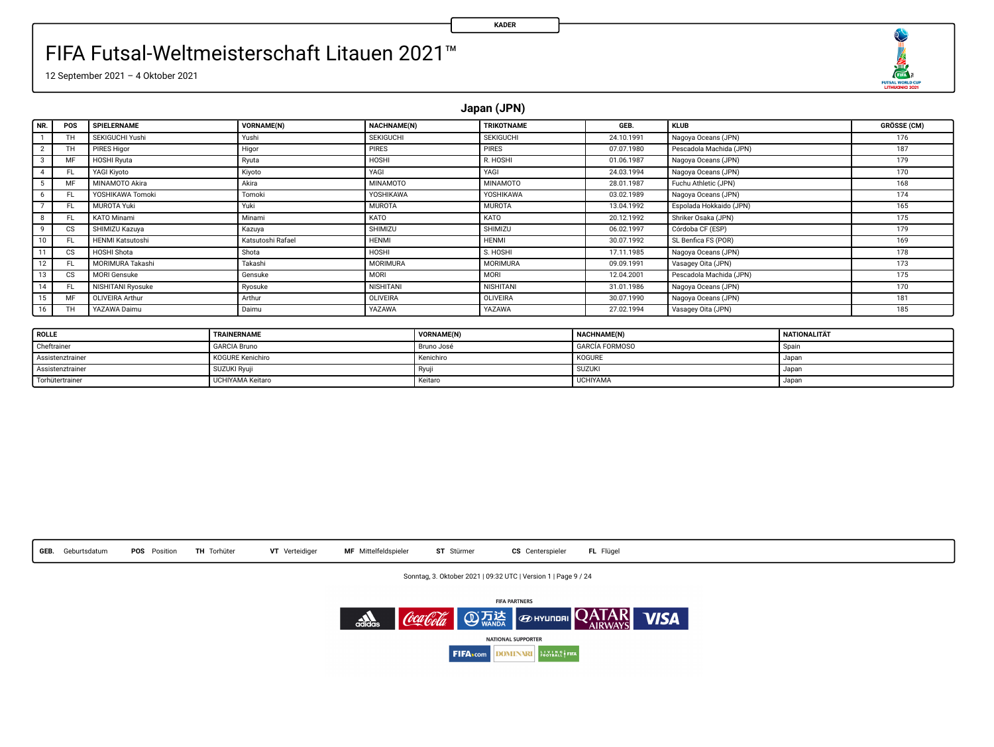

12 September 2021 – 4 Oktober 2021

**Japan (JPN)**

| NR.                     | POS       | SPIELERNAME             | VORNAME(N)        | <b>NACHNAME(N)</b> | <b>TRIKOTNAME</b> | GEB.       | <b>KLUB</b>             | <b>GRÖSSE (CM)</b> |
|-------------------------|-----------|-------------------------|-------------------|--------------------|-------------------|------------|-------------------------|--------------------|
|                         | TH        | SEKIGUCHI Yushi         | Yushi             | SEKIGUCHI          | <b>SEKIGUCHI</b>  | 24.10.1991 | Nagoya Oceans (JPN)     | 176                |
| $\overline{\mathbf{2}}$ | <b>TH</b> | <b>PIRES Higor</b>      | Higor             | PIRES              | <b>PIRES</b>      | 07.07.1980 | Pescadola Machida (JPN) | 187                |
| 3                       | MF        | <b>HOSHI Ryuta</b>      | Ryuta             | HOSHI              | R. HOSHI          | 01.06.1987 | Nagova Oceans (JPN)     | 179                |
|                         | FL.       | YAGI Kivoto             | Kiyoto            | YAGI               | YAGI              | 24.03.1994 | Nagova Oceans (JPN)     | 170                |
|                         | MF        | MINAMOTO Akira          | Akira             | MINAMOTO           | <b>MINAMOTO</b>   | 28.01.1987 | Fuchu Athletic (JPN)    | 168                |
| 6                       | FL.       | YOSHIKAWA Tomoki        | Tomoki            | YOSHIKAWA          | YOSHIKAWA         | 03.02.1989 | Nagoya Oceans (JPN)     | 174                |
|                         | FL.       | <b>MUROTA Yuki</b>      | Yuki              | <b>MUROTA</b>      | <b>MUROTA</b>     | 13.04.1992 | Espolada Hokkaido (JPN) | 165                |
| 8                       | FL.       | KATO Minami             | Minami            | KATO               | KATO              | 20.12.1992 | Shriker Osaka (JPN)     | 175                |
| 9                       | CS        | SHIMIZU Kazuva          | Kazuya            | SHIMIZU            | SHIMIZU           | 06.02.1997 | Córdoba CF (ESP)        | 179                |
| 10                      | FL.       | <b>HENMI Katsutoshi</b> | Katsutoshi Rafael | <b>HENMI</b>       | <b>HENMI</b>      | 30.07.1992 | SL Benfica FS (POR)     | 169                |
| 11                      | CS.       | HOSHI Shota             | Shota             | HOSHI              | S. HOSHI          | 17.11.1985 | Nagoya Oceans (JPN)     | 178                |
| 12                      | FL.       | MORIMURA Takashi        | Takashi           | MORIMURA           | <b>MORIMURA</b>   | 09.09.1991 | Vasagey Oita (JPN)      | 173                |
| 13                      | cs        | <b>MORI Gensuke</b>     | Gensuke           | MORI               | MORI              | 12.04.2001 | Pescadola Machida (JPN) | 175                |
| 14                      | FL.       | NISHITANI Ryosuke       | Ryosuke           | NISHITANI          | <b>NISHITANI</b>  | 31.01.1986 | Nagoya Oceans (JPN)     | 170                |
| 15                      | MF        | OLIVEIRA Arthur         | Arthur            | OLIVEIRA           | OLIVEIRA          | 30.07.1990 | Nagoya Oceans (JPN)     | 181                |
| 16                      | TH        | YAZAWA Daimu            | Daimu             | YAZAWA             | YAZAWA            | 27.02.1994 | Vasagey Oita (JPN)      | 185                |

| <b>ROLLE</b>     | TRAINERNAME             | VORNAME(N) | NACHNAME(N)           | <b>NATIONALITÄT</b> |
|------------------|-------------------------|------------|-----------------------|---------------------|
| Cheftrainer      | <b>GARCIA Bruno</b>     | Bruno José | <b>GARCÍA FORMOSO</b> | Soain               |
| Assistenztrainer | KOGURE Kenichiro        | Kenichiro  | KOGURE                | Japan               |
| Assistenztrainer | SUZUKI Ryuji            |            | <b>SUZUK</b>          | Japar               |
| Torhütertrainer  | <b>UCHIYAMA Keitaro</b> | Keitaro    | <b>UCHIYAMA</b>       | Japar               |



Sonntag, 3. Oktober 2021 | 09:32 UTC | Version 1 | Page 9 / 24

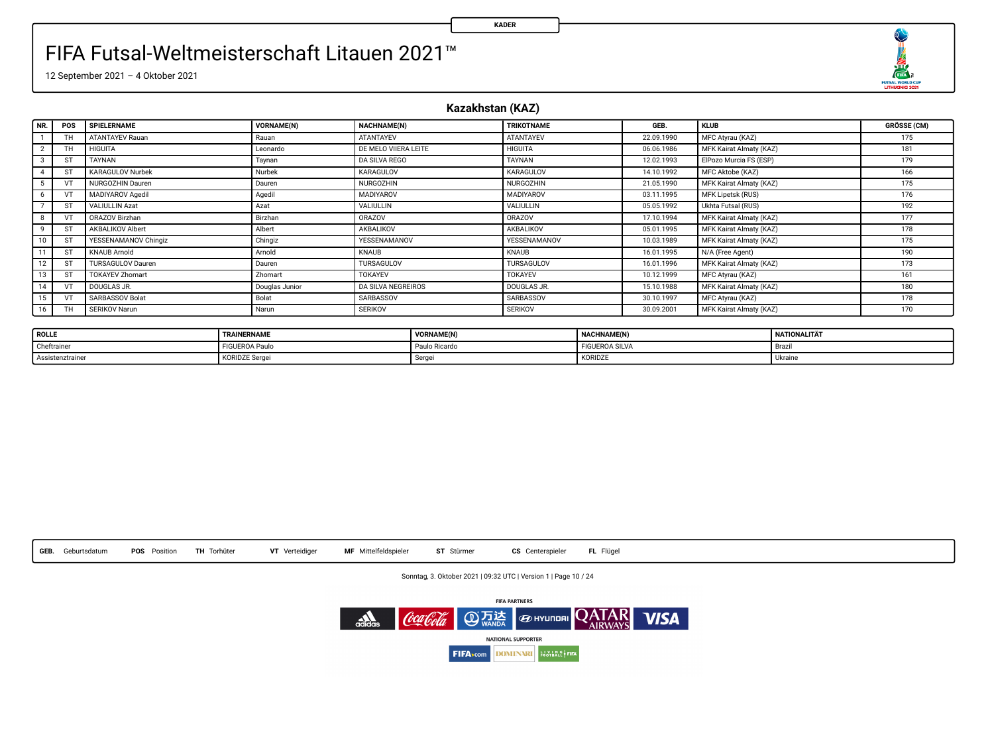

12 September 2021 – 4 Oktober 2021

#### **Kazakhstan (KAZ)**

**KADER**

| NR.            | POS       | SPIELERNAME              | VORNAME(N)     | NACHNAME(N)               | TRIKOTNAME       | <b>GFR</b> | <b>KLUB</b>             | <b>GRÖSSE (CM)</b> |
|----------------|-----------|--------------------------|----------------|---------------------------|------------------|------------|-------------------------|--------------------|
|                | TH        | <b>ATANTAYEV Rauan</b>   | Rauan          | ATANTAYEV                 | ATANTAYEV        | 22.09.1990 | MFC Atyrau (KAZ)        | 175                |
| $\overline{2}$ | <b>TH</b> | <b>HIGUITA</b>           | Leonardo       | DE MELO VIIERA LEITE      | <b>HIGUITA</b>   | 06.06.1986 | MFK Kairat Almaty (KAZ) | 181                |
|                | ST        | TAYNAN                   | Taynan         | DA SILVA REGO             | TAYNAN           | 12.02.1993 | ElPozo Murcia FS (ESP)  | 179                |
|                | ST        | KARAGULOV Nurbek         | Nurbek         | KARAGULOV                 | KARAGULOV        | 14.10.1992 | MFC Aktobe (KAZ)        | 166                |
|                | VT        | NURGOZHIN Dauren         | Dauren         | <b>NURGOZHIN</b>          | <b>NURGOZHIN</b> | 21.05.1990 | MFK Kairat Almaty (KAZ) | 175                |
| 6              |           | MADIYAROV Agedil         | Agedi          | MADIYAROV                 | MADIYAROV        | 03.11.1995 | MFK Lipetsk (RUS)       | 176                |
|                | <b>ST</b> | <b>VALIULLIN Azat</b>    | Azat           | VALIULLIN                 | VALIULLIN        | 05.05.1992 | Ukhta Futsal (RUS)      | 192                |
|                |           | ORAZOV Birzhan           | Birzhan        | ORAZOV                    | ORAZOV           | 17.10.1994 | MFK Kairat Almaty (KAZ) | 177                |
| ٠              | ST        | AKBALIKOV Albert         | Albert         | AKBALIKOV                 | AKBALIKOV        | 05.01.1995 | MFK Kairat Almaty (KAZ) | 178                |
| 10             | <b>ST</b> | YESSENAMANOV Chingiz     | Chingiz        | <b>YESSENAMANOV</b>       | YESSENAMANOV     | 10.03.1989 | MFK Kairat Almaty (KAZ) | 175                |
| 11             | ST        | <b>KNAUB Arnold</b>      | Arnold         | KNAUB                     | KNAUB            | 16.01.1995 | N/A (Free Agent)        | 190                |
| 12             | ST        | <b>TURSAGULOV Dauren</b> | Dauren         | TURSAGULOV                | TURSAGULOV       | 16.01.1996 | MFK Kairat Almaty (KAZ) | 173                |
| 13             | <b>ST</b> | <b>TOKAYEV Zhomart</b>   | Zhomart        | <b>TOKAYEV</b>            | <b>TOKAYEV</b>   | 10.12.1999 | MFC Atyrau (KAZ)        | 161                |
| 14             |           | DOUGLAS JR.              | Douglas Junior | <b>DA SILVA NEGREIROS</b> | DOUGLAS JR.      | 15.10.1988 | MFK Kairat Almaty (KAZ) | 180                |
| 15             | VT        | SARBASSOV Bolat          | Bolat          | SARBASSOV                 | SARBASSOV        | 30.10.1997 | MFC Atyrau (KAZ)        | 178                |
| 16             | TH        | SERIKOV Narun            | Narun          | <b>SERIKOV</b>            | <b>SERIKOV</b>   | 30.09.2001 | MFK Kairat Almaty (KAZ) | 170                |

| <b>ROLLE</b>     | TRAINERNAME    | VORNAME(N)            | <b>MACHINAME/MY</b><br><b>NACHNAMEIN</b> | NATIONALITÄT   |
|------------------|----------------|-----------------------|------------------------------------------|----------------|
| Cheftrainer      | FIGUEROA Paulo | $-1$<br>Paulo Ricardo | <b>FIGUEROA SILVA</b>                    | Braz.          |
| Assistenztrainer | KORIDZE Serge. | Serge                 | KORIDZE                                  | <b>Ukraine</b> |



Sonntag, 3. Oktober 2021 | 09:32 UTC | Version 1 | Page 10 / 24

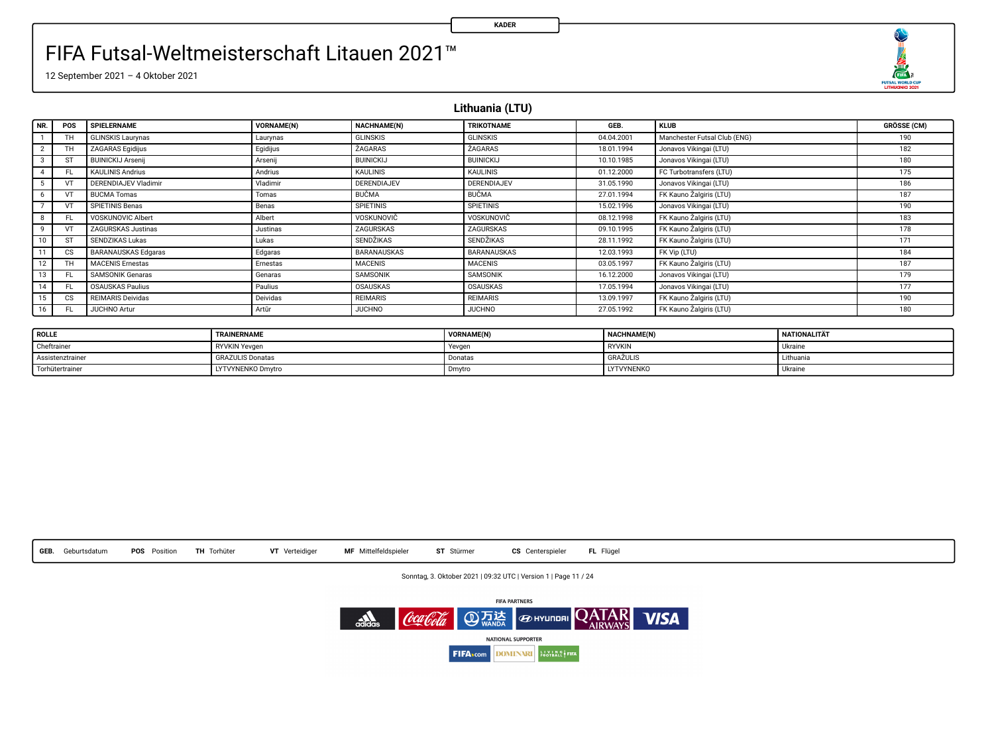

12 September 2021 – 4 Oktober 2021

**Lithuania (LTU)**

| I NR. I                 | POS | SPIELERNAME              | VORNAME(N) | <b>NACHNAME(N)</b> | TRIKOTNAME         | GEB.       | <b>KLUB</b>                  | <b>GRÖSSE (CM)</b> |
|-------------------------|-----|--------------------------|------------|--------------------|--------------------|------------|------------------------------|--------------------|
|                         | TН  | <b>GLINSKIS Laurynas</b> | Laurynas   | <b>GLINSKIS</b>    | <b>GLINSKIS</b>    | 04.04.2001 | Manchester Futsal Club (ENG) | 190                |
| $\overline{2}$          | ΤН  | <b>ZAGARAS Egidijus</b>  | Egidijus   | <b>ZAGARAS</b>     | <b>ZAGARAS</b>     | 18.01.1994 | Jonavos Vikingai (LTU)       | 182                |
| $\overline{\mathbf{3}}$ |     | <b>BUINICKIJ Arsenii</b> | Arsenii    | <b>BUINICKIJ</b>   | <b>BUINICKIJ</b>   | 10.10.1985 | Jonavos Vikingai (LTU)       | 180                |
|                         | FL. | <b>KAULINIS Andrius</b>  | Andrius    | <b>KAULINIS</b>    | KAULINIS           | 01.12.2000 | FC Turbotransfers (LTU)      | 175                |
| 5                       |     | DERENDIAJEV Vladimir     | Vladimir   | DERENDIAJEV        | <b>DERENDIAJEV</b> | 31.05.1990 | Jonavos Vikingai (LTU)       | 186                |
| 6                       |     | <b>BUCMA</b> Tomas       | Tomas      | <b>BUČMA</b>       | <b>BUCMA</b>       | 27.01.1994 | FK Kauno Žalgiris (LTU)      | 187                |
|                         |     | SPIETINIS Benas          | Benas      | <b>SPIETINIS</b>   | <b>SPIETINIS</b>   | 15.02.1996 | Jonavos Vikingai (LTU)       | 190                |
| 8                       | FL. | VOSKUNOVIC Albert        | Albert     | VOSKUNOVIČ         | VOSKUNOVIČ         | 08.12.1998 | FK Kauno Žalgiris (LTU)      | 183                |
| 9                       |     | ZAGURSKAS Justinas       | Justinas   | ZAGURSKAS          | ZAGURSKAS          | 09.10.1995 | FK Kauno Žalgiris (LTU)      | 178                |
| 10                      | ST  | SENDZIKAS Lukas          | Lukas      | <b>SENDŽIKAS</b>   | <b>SENDZIKAS</b>   | 28.11.1992 | FK Kauno Zalgiris (LTU)      | 171                |
| 11                      | CS. | BARANAUSKAS Edgaras      | Edgaras    | BARANAUSKAS        | BARANAUSKAS        | 12.03.1993 | FK Vip (LTU)                 | 184                |
| 12                      | TH  | <b>MACENIS Ernestas</b>  | Ernestas   | <b>MACENIS</b>     | <b>MACENIS</b>     | 03.05.1997 | FK Kauno Žalgiris (LTU)      | 187                |
| 13                      | FL. | <b>SAMSONIK Genaras</b>  | Genaras    | SAMSONIK           | SAMSONIK           | 16.12.2000 | Jonavos Vikingai (LTU)       | 179                |
| 14                      | FL. | <b>OSAUSKAS Paulius</b>  | Paulius    | OSAUSKAS           | OSAUSKAS           | 17.05.1994 | Jonavos Vikingai (LTU)       | 177                |
| 15 <sup>1</sup>         | CS. | <b>REIMARIS Deividas</b> | Deividas   | <b>REIMARIS</b>    | <b>REIMARIS</b>    | 13.09.1997 | FK Kauno Žalgiris (LTU)      | 190                |
| 16                      | FL. | <b>JUCHNO Artur</b>      | Artür      | <b>JUCHNO</b>      | <b>JUCHNO</b>      | 27.05.1992 | FK Kauno Zalgiris (LTU)      | 180                |

| <b>ROLLE</b>     | TRAINERNAME             | <b>VORNAME(N)</b> | NACHNAME(N)       | <b>NATIONALITÄT</b> |
|------------------|-------------------------|-------------------|-------------------|---------------------|
| Cheftrainer      | <b>RYVKIN Yevgen</b>    | Yevgen            | <b>RYVKIN</b>     | Ukraine             |
| Assistenztrainer | <b>GRAZULIS Donatas</b> | Donatas           | <b>GRAZULIS</b>   | Lithuania           |
| Torhütertrainer  | LYTVYNENKO Dmytro       | Dmytro            | <b>LYTVYNENKO</b> | <b>Ukraine</b>      |



Sonntag, 3. Oktober 2021 | 09:32 UTC | Version 1 | Page 11 / 24

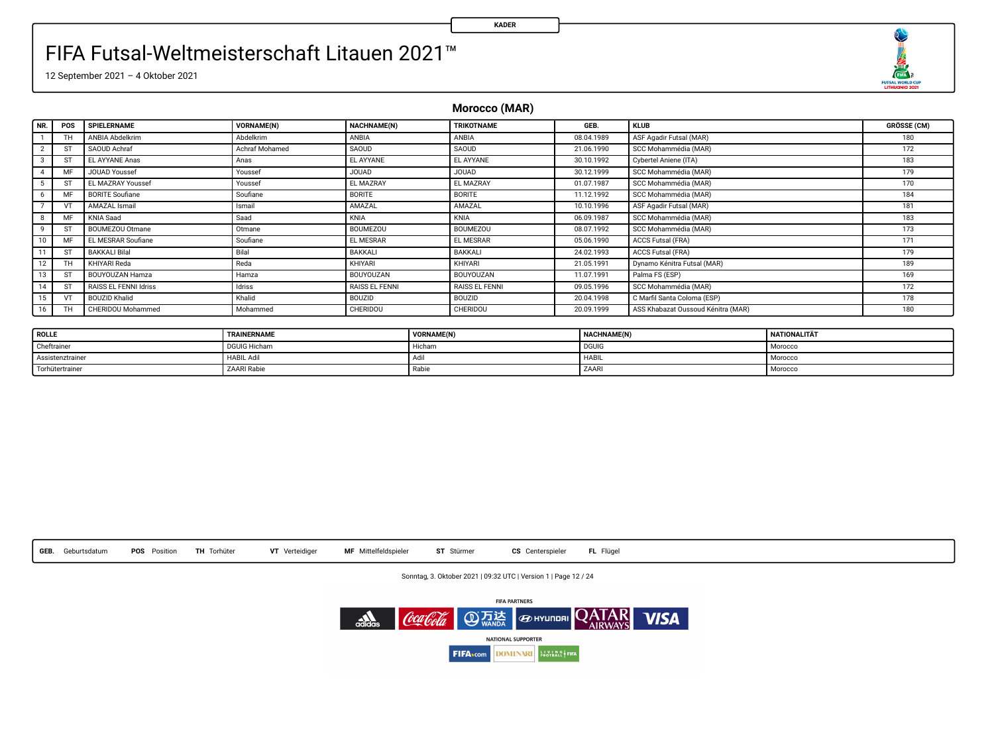O  $\begin{array}{r}\n\overbrace{\text{max}} \\
\overbrace{\text{max}} \\
\overbrace{\text{maxmax}} \\
\overbrace{\text{maxmax}} \\
\overbrace{\text{max}} \\
\overbrace{\text{max}} \\
\overbrace{\text{max}} \\
\overbrace{\text{max}} \\
\overbrace{\text{max}} \\
\overbrace{\text{max}} \\
\overbrace{\text{max}} \\
\overbrace{\text{max}} \\
\overbrace{\text{max}} \\
\overbrace{\text{max}} \\
\overbrace{\text{max}} \\
\overbrace{\text{max}} \\
\overbrace{\text{max}} \\
\overbrace{\text{max}} \\
\overbrace{\text{max}} \\
\overbrace{\text{max}} \\
\overbrace{\text{max}} \\
\overbrace{\text{max}} \\
\overbrace{\text{max}} \\
\overbrace$ 

12 September 2021 – 4 Oktober 2021

**Morocco (MAR)**

| I NR. I         | POS | SPIELERNAME               | <b>VORNAME(N)</b> | NACHNAME(N)     | <b>TRIKOTNAME</b> | GEB.       | <b>KLUB</b>                        | <b>GRÖSSE (CM)</b> |
|-----------------|-----|---------------------------|-------------------|-----------------|-------------------|------------|------------------------------------|--------------------|
|                 |     | ANBIA Abdelkrim           | Abdelkrim         | ANBIA           | ANBIA             | 08.04.1989 | ASF Agadir Futsal (MAR)            | 180                |
| $\overline{2}$  |     | SAOUD Achraf              | Achraf Mohamed    | SAQUD           | SAOUD             | 21.06.1990 | SCC Mohammédia (MAR)               | 172                |
| 3               | ST  | EL AYYANE Anas            | Anas              | EL AYYANE       | EL AYYANE         | 30.10.1992 | Cybertel Aniene (ITA)              | 183                |
| 4               | MF  | <b>JOUAD Youssef</b>      | Youssef           | JOUAD           | <b>GAUOL</b>      | 30.12.1999 | SCC Mohammédia (MAR)               | 179                |
|                 |     | <b>EL MAZRAY Youssef</b>  | Youssef           | EL MAZRAY       | EL MAZRAY         | 01.07.1987 | SCC Mohammédia (MAR)               | 170                |
| 6.              | MF  | <b>BORITE Soufiane</b>    | Soufiane          | <b>BORITE</b>   | <b>BORITE</b>     | 11.12.1992 | SCC Mohammédia (MAR)               | 184                |
|                 |     | AMAZAL Ismail             | Ismail            | AMAZAL          | AMAZAL            | 10.10.1996 | ASF Agadir Futsal (MAR)            | 181                |
| 8               | MF  | KNIA Saad                 | Saad              | KNIA            | KNIA              | 06.09.1987 | SCC Mohammédia (MAR)               | 183                |
| 9               |     | <b>BOUMEZOU Otmane</b>    | Otmane            | <b>BOUMEZOU</b> | BOUMEZOU          | 08.07.1992 | SCC Mohammédia (MAR)               | 173                |
| 10              | MF  | <b>EL MESRAR Soufiane</b> | Soufiane          | EL MESRAR       | EL MESRAR         | 05.06.1990 | <b>ACCS Futsal (FRA)</b>           | 171                |
| 11 <sup>1</sup> | ST  | <b>BAKKALI Bilal</b>      | Bilal             | BAKKALI         | BAKKALI           | 24.02.1993 | ACCS Futsal (FRA)                  | 179                |
| 12              |     | KHIYARI Reda              | Reda              | KHIYARI         | KHIYARI           | 21.05.1991 | Dynamo Kénitra Futsal (MAR)        | 189                |
| 13              | S1  | BOUYOUZAN Hamza           | Hamza             | BOUYOUZAN       | BOUYOUZAN         | 11.07.1991 | Palma FS (ESP)                     | 169                |
| 14              | ST  | RAISS EL FENNI Idriss     | Idriss            | RAISS EL FENNI  | RAISS EL FENNI    | 09.05.1996 | SCC Mohammédia (MAR)               | 172                |
| 15              |     | <b>BOUZID Khalid</b>      | Khalid            | BOUZID          | BOUZID            | 20.04.1998 | C Marfil Santa Coloma (ESP)        | 178                |
| 16              |     | CHERIDOU Mohammed         | Mohammed          | CHERIDOU        | CHERIDOU          | 20.09.1999 | ASS Khabazat Oussoud Kénitra (MAR) | 180                |

| <b>ROLLE</b>     | TRAINERNAME         | <b>VORNAME(N</b> | <b>NACHNAME(N)</b> | <b>NATIONALITÄT</b> |
|------------------|---------------------|------------------|--------------------|---------------------|
| Cheftrainer      | <b>DGUIG Hichan</b> | Hicham           | <b>DGUIC</b>       | Morocco             |
| Assistenztrainer | <b>HABIL Adil</b>   |                  | <b>HABIL</b>       | Morocco             |
| Torhütertrainer  | ZAARI Rabie         | Rabiu            | ZAARI              | Morocco             |



Sonntag, 3. Oktober 2021 | 09:32 UTC | Version 1 | Page 12 / 24

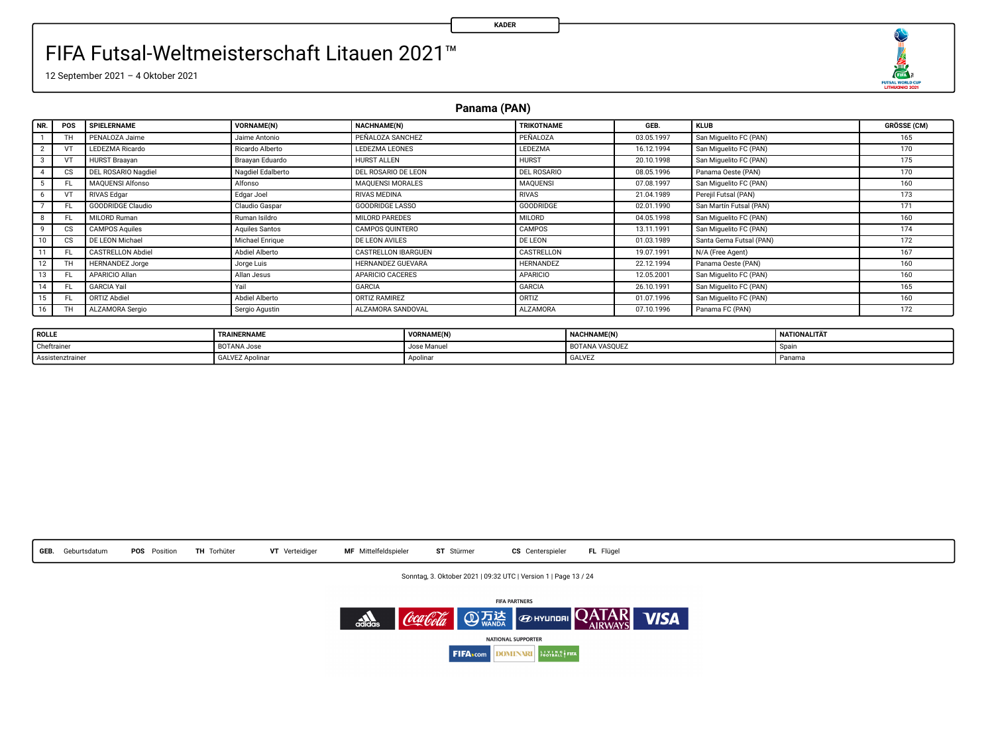

12 September 2021 – 4 Oktober 2021

**Panama (PAN)**

| NR.             | POS       | SPIELERNAME              | <b>VORNAME(N)</b> | <b>NACHNAME(N)</b>         | <b>TRIKOTNAME</b> | GEB.       | <b>KLUB</b>             | <b>GRÖSSE (CM)</b> |
|-----------------|-----------|--------------------------|-------------------|----------------------------|-------------------|------------|-------------------------|--------------------|
|                 | TH        | PENALOZA Jaime           | Jaime Antonio     | PEÑALOZA SANCHEZ           | PEÑALOZA          | 03.05.1997 | San Miguelito FC (PAN)  | 165                |
| 2               |           | LEDEZMA Ricardo          | Ricardo Alberto   | <b>LEDEZMA LEONES</b>      | LEDEZMA           | 16.12.1994 | San Miguelito FC (PAN)  | 170                |
| 3               |           | <b>HURST Braavan</b>     | Braavan Eduardo   | HURST ALLEN                | <b>HURST</b>      | 20.10.1998 | San Miguelito FC (PAN)  | 175                |
|                 | <b>CS</b> | DEL ROSARIO Nagdiel      | Nagdiel Edalberto | DEL ROSARIO DE LEON        | DEL ROSARIO       | 08.05.1996 | Panama Oeste (PAN)      | 170                |
|                 |           | <b>MAQUENSI Alfonso</b>  | Alfonso           | <b>MAQUENSI MORALES</b>    | <b>MAQUENSI</b>   | 07.08.1997 | San Miguelito FC (PAN)  | 160                |
| 6               |           | <b>RIVAS Edgar</b>       | Edgar Joel        | <b>RIVAS MEDINA</b>        | <b>RIVAS</b>      | 21.04.1989 | Perejil Futsal (PAN)    | 173                |
|                 | FL.       | <b>GOODRIDGE Claudio</b> | Claudio Gaspar    | <b>GOODRIDGE LASSO</b>     | <b>GOODRIDGE</b>  | 02.01.1990 | San Martin Futsal (PAN) | 171                |
| 8               | FL.       | MILORD Ruman             | Ruman Isildro     | MILORD PAREDES             | MILORD            | 04.05.1998 | San Miguelito FC (PAN)  | 160                |
| 9               | <b>CS</b> | <b>CAMPOS Aquiles</b>    | Aguiles Santos    | CAMPOS OUINTERO            | CAMPOS            | 13.11.1991 | San Miguelito FC (PAN)  | 174                |
| 10              | cs        | DE LEON Michael          | Michael Enrique   | <b>DE LEON AVILES</b>      | <b>DE LEON</b>    | 01.03.1989 | Santa Gema Futsal (PAN) | 172                |
|                 | FL.       | <b>CASTRELLON Abdiel</b> | Abdiel Alberto    | <b>CASTRELLON IBARGUEN</b> | CASTRELLON        | 19.07.1991 | N/A (Free Agent)        | 167                |
| 12 <sup>1</sup> | TH        | <b>HERNANDEZ Jorge</b>   | Jorge Luis        | HERNANDEZ GUEVARA          | HERNANDEZ         | 22.12.1994 | Panama Oeste (PAN)      | 160                |
| 13              | FL.       | APARICIO Alian           | Allan Jesus       | <b>APARICIO CACERES</b>    | <b>APARICIO</b>   | 12.05.2001 | San Miguelito FC (PAN)  | 160                |
| 14              | FL.       | GARCIA Yail              | Yail              | GARCIA                     | <b>GARCIA</b>     | 26.10.1991 | San Miguelito FC (PAN)  | 165                |
| 15              | FL.       | ORTIZ Abdiel             | Abdiel Alberto    | ORTIZ RAMIREZ              | ORTIZ             | 01.07.1996 | San Miguelito FC (PAN)  | 160                |
| 16              | ΤН        | ALZAMORA Sergio          | Sergio Agustin    | ALZAMORA SANDOVAL          | <b>ALZAMORA</b>   | 07.10.1996 | Panama FC (PAN)         | 172                |

| <b>ROLLE</b>    | TRAINERNAME            | <b>VORNAME(N</b> | <b>NACHNAME(N)</b>    | NATIONALITÄT |
|-----------------|------------------------|------------------|-----------------------|--------------|
| Cheftrainer     | BOTANA Jose            | Jose Manuel      | <b>BOTANA VASOUEZ</b> | Soar         |
| Assistenztraine | <b>GALVEZ Apolinar</b> | Apolina          | GALVEZ                | Panama       |



Sonntag, 3. Oktober 2021 | 09:32 UTC | Version 1 | Page 13 / 24

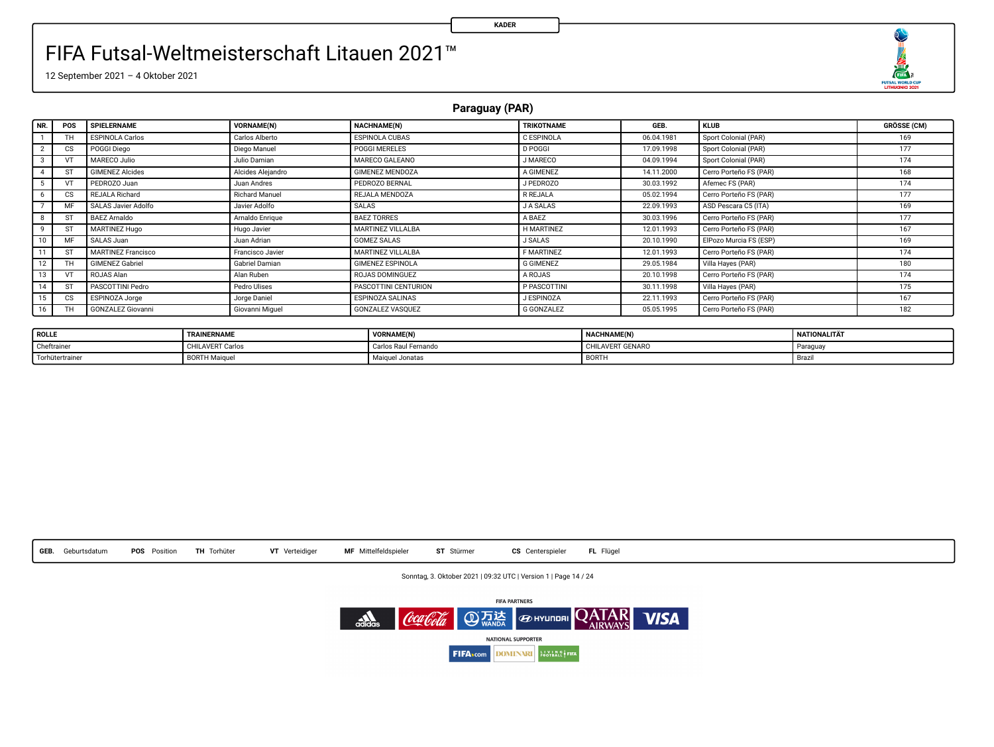

12 September 2021 – 4 Oktober 2021

**Paraguay (PAR)**

| NR. | POS       | SPIELERNAME               | <b>VORNAME(N)</b> | NACHNAME(N)             | TRIKOTNAME        | GEB.       | <b>KLUB</b>            | GRÖSSE (CM) |
|-----|-----------|---------------------------|-------------------|-------------------------|-------------------|------------|------------------------|-------------|
|     | TH        | <b>ESPINOLA Carlos</b>    | Carlos Alberto    | <b>ESPINOLA CUBAS</b>   | C ESPINOLA        | 06.04.1981 | Sport Colonial (PAR)   | 169         |
|     | <b>CS</b> | <b>POGGI Diego</b>        | Diego Manuel      | <b>POGGI MERELES</b>    | <b>D POGGI</b>    | 17.09.1998 | Sport Colonial (PAR)   | 177         |
|     | VT        | MARECO Julio              | Julio Damian      | MARECO GALEANO          | J MARECO          | 04.09.1994 | Sport Colonial (PAR)   | 174         |
|     | ST        | <b>GIMENEZ Alcides</b>    | Alcides Aleiandro | GIMENEZ MENDOZA         | A GIMENEZ         | 14.11.2000 | Cerro Porteño FS (PAR) | 168         |
|     | ٧T        | PEDROZO Juan              | Juan Andres       | PEDROZO BERNAL          | J PEDROZO         | 30.03.1992 | Afemec FS (PAR)        | 174         |
|     | <b>CS</b> | REJALA Richard            | Richard Manuel    | REJALA MENDOZA          | R REJALA          | 05.02.1994 | Cerro Porteño FS (PAR) | 177         |
|     | MF        | SALAS Javier Adolfo       | Javier Adolfo     | <b>SALAS</b>            | <b>JASALAS</b>    | 22.09.1993 | ASD Pescara C5 (ITA)   | 169         |
|     | ST        | BAEZ Arnaldo              | Arnaldo Enrique   | <b>BAEZ TORRES</b>      | A BAEZ            | 30.03.1996 | Cerro Porteño FS (PAR) | 177         |
|     | ST        | MARTINEZ Hugo             | Hugo Javier       | MARTINEZ VILLALBA       | <b>H MARTINEZ</b> | 12.01.1993 | Cerro Porteño FS (PAR) | 167         |
| 10  | MF        | SALAS Juan                | Juan Adrian       | <b>GOMEZ SALAS</b>      | <b>J SALAS</b>    | 20.10.1990 | ElPozo Murcia FS (ESP) | 169         |
|     | ST        | <b>MARTINEZ Francisco</b> | Francisco Javier  | MARTINEZ VILLALBA       | F MARTINEZ        | 12.01.1993 | Cerro Porteño FS (PAR) | 174         |
| 12  | TH        | <b>GIMENEZ Gabriel</b>    | Gabriel Damian    | <b>GIMENEZ ESPINOLA</b> | <b>G GIMENEZ</b>  | 29.05.1984 | Villa Hayes (PAR)      | 180         |
| 13  | VT        | ROJAS Alan                | Alan Ruben        | ROJAS DOMINGUEZ         | A ROJAS           | 20.10.1998 | Cerro Porteño FS (PAR) | 174         |
| 14  | ST        | PASCOTTINI Pedro          | Pedro Ulises      | PASCOTTINI CENTURION    | P PASCOTTINI      | 30.11.1998 | Villa Hayes (PAR)      | 175         |
| 15  | <b>CS</b> | ESPINOZA Jorge            | Jorge Daniel      | <b>ESPINOZA SALINAS</b> | J ESPINOZA        | 22.11.1993 | Cerro Porteño FS (PAR) | 167         |
| 16  | TH        | <b>GONZALEZ Giovanni</b>  | Giovanni Miquel   | <b>GONZALEZ VASOUEZ</b> | <b>G GONZALEZ</b> | 05.05.1995 | Cerro Porteño FS (PAR) | 182         |

| <b>ROLLE</b>    | TRAINERNAME             | <b>VORNAME(N)</b>    | <b>NACHNAME(N)</b> | NATIONALITÄT |
|-----------------|-------------------------|----------------------|--------------------|--------------|
| Cheftrainer     | <b>CHILAVERT Carlos</b> | Carlos Raul Fernando | CHILAVERT GENARO   | Paraguay     |
| Torhütertrainer | <b>BORTH Majquel</b>    | Maiguel Jonatas      | BORTH              | Brazi        |



Sonntag, 3. Oktober 2021 | 09:32 UTC | Version 1 | Page 14 / 24

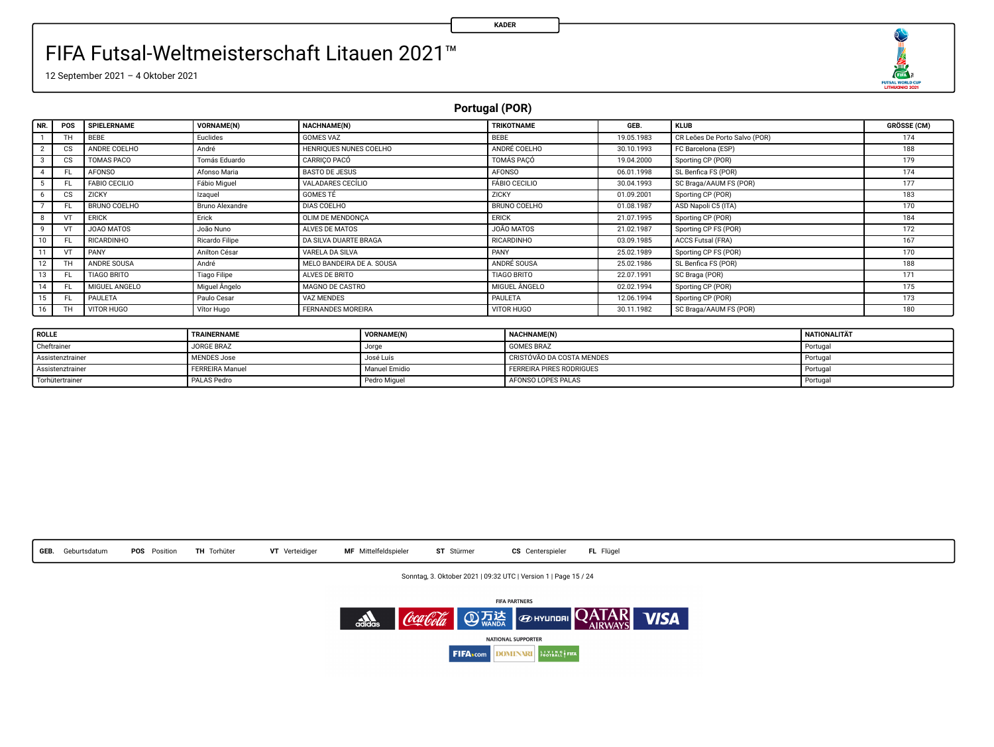

12 September 2021 – 4 Oktober 2021

**Portugal (POR)**

| NR. | POS       | SPIELERNAME          | VORNAME(N)             | NACHNAME(N)               | TRIKOTNAME           | GEB.       | <b>KLUB</b>                   | <b>GRÖSSE (CM)</b> |
|-----|-----------|----------------------|------------------------|---------------------------|----------------------|------------|-------------------------------|--------------------|
|     | TH.       | BEBE                 | Euclides               | GOMES VAZ                 | BEBE                 | 19.05.1983 | CR Leões De Porto Salvo (POR) | 174                |
|     | <b>CS</b> | ANDRE COELHO         | André                  | HENRIOUES NUNES COELHO    | ANDRÉ COELHO         | 30.10.1993 | FC Barcelona (ESP)            | 188                |
|     | CS        | TOMAS PACO           | Tomás Eduardo          | CARRICO PACÓ              | TOMÁS PACÓ           | 19.04.2000 | Sporting CP (POR)             | 179                |
|     | FL        | <b>AFONSO</b>        | Afonso Maria           | BASTO DE JESUS            | <b>AFONSO</b>        | 06.01.1998 | SL Benfica FS (POR)           | 174                |
|     |           | <b>FABIO CECILIO</b> | Fábio Miguel           | VALADARES CECÍLIO         | <b>FÁBIO CECILIO</b> | 30.04.1993 | SC Braga/AAUM FS (POR)        | 177                |
|     | cs        | ZICKY                | Izaguel                | <b>GOMES TÉ</b>           | ZICKY                | 01.09.2001 | Sporting CP (POR)             | 183                |
|     |           | BRUNO COELHO         | <b>Bruno Alexandre</b> | DIAS COELHO               | BRUNO COELHO         | 01.08.1987 | ASD Napoli C5 (ITA)           | 170                |
|     | v         | <b>ERICK</b>         | Erick                  | OLIM DE MENDONCA          | ERICK                | 21.07.1995 | Sporting CP (POR)             | 184                |
|     |           | JOAO MATOS           | João Nuno              | ALVES DE MATOS            | JOÃO MATOS           | 21.02.1987 | Sporting CP FS (POR)          | 172                |
|     | FL        | <b>RICARDINHO</b>    | Ricardo Filipe         | DA SILVA DUARTE BRAGA     | <b>RICARDINHO</b>    | 03.09.1985 | ACCS Futsal (FRA)             | 167                |
|     | VT        | PANY                 | Anilton César          | VAREL A DA SILVA          | PANY                 | 25.02.1989 | Sporting CP FS (POR)          | 170                |
|     | TH        | ANDRE SOUSA          | André                  | MELO BANDEIRA DE A. SOUSA | ANDRÉ SOUSA          | 25.02.1986 | SL Benfica FS (POR)           | 188                |
|     |           | <b>TIAGO BRITO</b>   | <b>Tiago Filipe</b>    | ALVES DE BRITO            | <b>TIAGO BRITO</b>   | 22.07.1991 | SC Braga (POR)                | 171                |
|     | FL.       | MIGUEL ANGELO        | Miguel Ångelo          | MAGNO DE CASTRO           | MIGUEL ÅNGELO        | 02.02.1994 | Sporting CP (POR)             | 175                |
|     | FL        | PAULETA              | Paulo Cesar            | VAZ MENDES                | PAULETA              | 12.06.1994 | Sporting CP (POR)             | 173                |
| 16  | TH        | VITOR HUGO           | Vitor Hugo             | <b>FERNANDES MOREIRA</b>  | VITOR HUGO           | 30.11.1982 | SC Braga/AAUM FS (POR)        | 180                |

| <b>ROLLE</b>     | TRAINERNAME        | VORNAME(N)    | <b>NACHNAME(N)</b>        | NATIONALITÄT |
|------------------|--------------------|---------------|---------------------------|--------------|
| Cheftrainer      | JORGE BRAZ         | Jorge         | <b>GOMES BRAZ</b>         | Portugal     |
| Assistenztrainer | <b>MENDES Jose</b> | José Luís     | CRISTÓVÃO DA COSTA MENDES | Portugal     |
| Assistenztrainer | FERREIRA Manuel    | Manuel Emidio | FERREIRA PIRES RODRIGUES  | Portugal     |
| Torhütertrainer  | PALAS Pedro        | Pedro Miquel  | AFONSO LOPES PALAS        | Portugal     |



Sonntag, 3. Oktober 2021 | 09:32 UTC | Version 1 | Page 15 / 24

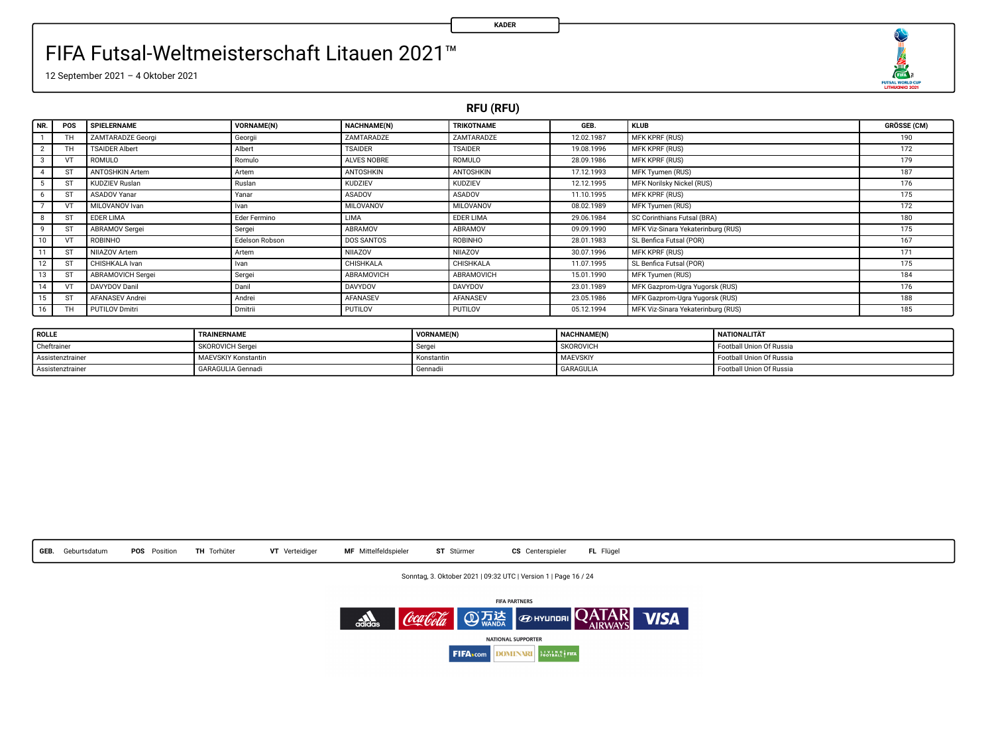

12 September 2021 – 4 Oktober 2021

**RFU (RFU)**

**KADER**

| I NR. I        | POS | SPIELERNAME            | VORNAME(N)     | NACHNAME(N)    | <b>TRIKOTNAME</b> | GEB.       | <b>KLUB</b>                        | <b>GRÖSSE (CM)</b> |
|----------------|-----|------------------------|----------------|----------------|-------------------|------------|------------------------------------|--------------------|
|                | ΤН  | ZAMTARADZE Georgi      | Georgii        | ZAMTARADZE     | ZAMTARADZE        | 12.02.1987 | MFK KPRF (RUS)                     | 190                |
| $\overline{2}$ | ΤН  | <b>TSAIDER Albert</b>  | Albert         | <b>TSAIDER</b> | <b>TSAIDER</b>    | 19.08.1996 | <b>MFK KPRF (RUS)</b>              | 172                |
| 3              | VT  | ROMULO                 | Romulo         | ALVES NOBRE    | ROMULO            | 28.09.1986 | <b>MFK KPRF (RUS)</b>              | 179                |
|                | ST  | <b>ANTOSHKIN Artem</b> | Artem          | ANTOSHKIN      | ANTOSHKIN         | 17.12.1993 | MFK Tyumen (RUS)                   | 187                |
|                |     | KUDZIEV Ruslan         | Ruslan         | <b>KUDZIEV</b> | <b>KUDZIEV</b>    | 12.12.1995 | MFK Norilsky Nickel (RUS)          | 176                |
| 6              | ST  | ASADOV Yanar           | Yanar          | ASADOV         | ASADOV            | 11.10.1995 | MFK KPRF (RUS)                     | 175                |
|                |     | MILOVANOV Ivan         | Ivan           | MILOVANOV      | MILOVANOV         | 08.02.1989 | MFK Tyumen (RUS)                   | 172                |
| 8              | ST  | EDER LIMA              | Eder Fermino   | LIMA           | EDER LIMA         | 29.06.1984 | SC Corinthians Futsal (BRA)        | 180                |
| 9              | ST  | ABRAMOV Sergei         | Sergei         | ABRAMOV        | ABRAMOV           | 09.09.1990 | MFK Viz-Sinara Yekaterinburg (RUS) | 175                |
| 10             |     | ROBINHO                | Edelson Robson | DOS SANTOS     | ROBINHO           | 28.01.1983 | SL Benfica Futsal (POR)            | 167                |
| 11             | ST  | NIIAZOV Artem          | Artem          | NIJAZOV        | NIIAZOV           | 30.07.1996 | MFK KPRF (RUS)                     | 171                |
| 12             | ST  | CHISHKALA Ivan         | Ivan           | CHISHKALA      | CHISHKALA         | 11.07.1995 | SL Benfica Futsal (POR)            | 175                |
| 13             | ST  | ABRAMOVICH Sergei      | Sergei         | ABRAMOVICH     | ABRAMOVICH        | 15.01.1990 | MFK Tyumen (RUS)                   | 184                |
| 14             | VT  | DAVYDOV Danil          | Danil          | DAVYDOV        | DAVYDOV           | 23.01.1989 | MFK Gazprom-Ugra Yugorsk (RUS)     | 176                |
| 15             | ST  | AFANASEV Andrei        | Andrei         | AFANASEV       | AFANASEV          | 23.05.1986 | MFK Gazprom-Ugra Yugorsk (RUS)     | 188                |
| 16             | ΤН  | <b>PUTILOV Dmitri</b>  | Dmitrii        | PUTILOV        | <b>PUTILOV</b>    | 05.12.1994 | MFK Viz-Sinara Yekaterinburg (RUS) | 185                |

| <b>ROLLE</b>     | TRAINERNAME                | VORNAME(N) | NACHNAME(N)      | NATIONALITÄT             |
|------------------|----------------------------|------------|------------------|--------------------------|
| Cheftrainer      | SKOROVICH Sergei           | Serger     | SKOROVICI        | Football Union Of Russia |
| Assistenztrainer | <b>MAEVSKIY Konstantin</b> | Konstantin | MAEVSKIY         | Football Union Of Russia |
| Assistenztrainer | <b>GARAGULIA Gennadi</b>   | Gennadi    | <b>GARAGULIA</b> | Football Union Of Russia |



Sonntag, 3. Oktober 2021 | 09:32 UTC | Version 1 | Page 16 / 24

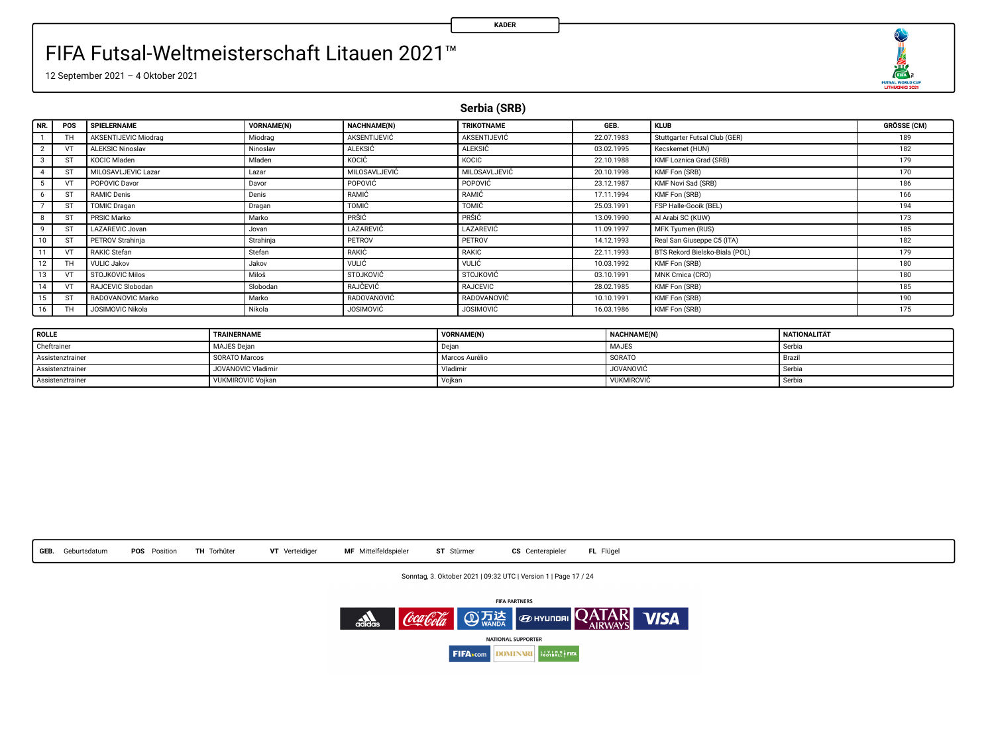O 

12 September 2021 – 4 Oktober 2021

**Serbia (SRB)**

| NR.                     | POS | SPIELERNAME             | VORNAME(N) | NACHNAME(N)      | <b>TRIKOTNAME</b>  | GEB.       | <b>KLUB</b>                    | <b>GRÖSSE (CM)</b> |
|-------------------------|-----|-------------------------|------------|------------------|--------------------|------------|--------------------------------|--------------------|
|                         | ΤН  | AKSENTIJEVIC Miodrag    | Miodrag    | AKSENTIJEVIĆ     | AKSENTIJEVIĆ       | 22.07.1983 | Stuttgarter Futsal Club (GER)  | 189                |
| $\overline{2}$          |     | <b>ALEKSIC Ninoslav</b> | Ninoslav   | <b>ALEKSIC</b>   | <b>ALEKSIC</b>     | 03.02.1995 | Kecskemet (HUN)                | 182                |
| $\overline{\mathbf{3}}$ | ST  | KOCIC Miaden            | Mladen     | KOCIC            | KOCIC              | 22.10.1988 | KMF Loznica Grad (SRB)         | 179                |
| $\sim$                  | ST  | MILOSAVLJEVIC Lazar     | Lazar      | MILOSAVLJEVIĆ    | MILOSAVLJEVIĆ      | 20.10.1998 | KMF Fon (SRB)                  | 170                |
| 5                       |     | POPOVIC Davor           | Davor      | POPOVIC          | POPOVIC            | 23.12.1987 | KMF Novi Sad (SRB)             | 186                |
| 6                       | ST  | <b>RAMIC Denis</b>      | Denis      | RAMIC            | RAMIC              | 17.11.1994 | KMF Fon (SRB)                  | 166                |
|                         | ST  | <b>TOMIC Dragan</b>     | Dragan     | TOMIC            | TOMIC              | 25.03.1991 | FSP Halle-Gooik (BEL)          | 194                |
| 8                       | ST  | PRSIC Marko             | Marko      | PRŜIĈ            | PRSIC              | 13.09.1990 | Al Arabi SC (KUW)              | 173                |
| 9                       | ST  | LAZAREVIC Jovan         | Jovan      | LAZAREVIĆ        | LAZAREVIC          | 11.09.1997 | MFK Tyumen (RUS)               | 185                |
| 10                      | ST  | <b>PETROV Strahinia</b> | Strahinia  | PETROV           | PETROV             | 14.12.1993 | Real San Giuseppe C5 (ITA)     | 182                |
| 11                      |     | RAKIC Stefan            | Stefan     | RAKIĆ            | RAKIC              | 22.11.1993 | BTS Rekord Bielsko-Biala (POL) | 179                |
| 12                      | TH  | <b>VULIC Jakov</b>      | Jakov      | <b>VULIC</b>     | <b>VULIC</b>       | 10.03.1992 | KMF Fon (SRB)                  | 180                |
| 13                      |     | <b>STOJKOVIC Milos</b>  | Miloš      | STOJKOVIĆ        | <b>STOJKOVIC</b>   | 03.10.1991 | MNK Crnica (CRO)               | 180                |
| 14                      | VT  | RAJCEVIC Slobodan       | Slobodan   | RAJČEVIĆ         | <b>RAJCEVIC</b>    | 28.02.1985 | KMF Fon (SRB)                  | 185                |
| 15                      | ST  | RADOVANOVIC Marko       | Marko      | RADOVANOVIĆ      | <b>RADOVANOVIĆ</b> | 10.10.1991 | KMF Fon (SRB)                  | 190                |
| 16                      | ΤН  | JOSIMOVIC Nikola        | Nikola     | <b>JOSIMOVIC</b> | <b>JOSIMOVIC</b>   | 16.03.1986 | KMF Fon (SRB)                  | 175                |

| <b>ROLLE</b>     | TRAINERNAME        | VORNAME(N)     | NACHNAME(N)       | <b>NATIONALITÄT</b> |
|------------------|--------------------|----------------|-------------------|---------------------|
| Cheftrainer      | MAJES Dejan        | Dejar          | <b>MAJES</b>      | Serbia              |
| Assistenztrainer | SORATO Marcos      | Marcos Aurélio | SORATO            | Brazil              |
| Assistenztrainer | JOVANOVIC Vladimir | Vladimir       | <b>JOVANOVIĆ</b>  | Serbia              |
| Assistenztrainer | VUKMIROVIC Voikan  | Voikan         | <b>VUKMIROVIC</b> | Serbia              |



Sonntag, 3. Oktober 2021 | 09:32 UTC | Version 1 | Page 17 / 24

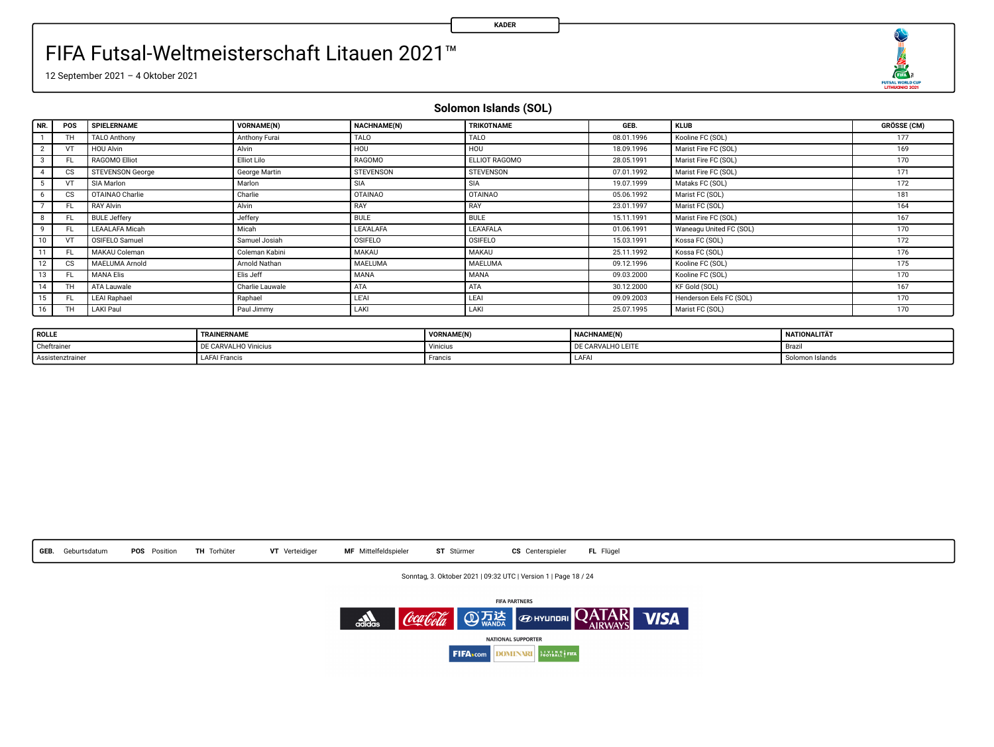۹ 

12 September 2021 – 4 Oktober 2021

**Solomon Islands (SOL)**

| NR.            | POS             | SPIELERNAME             | <b>VORNAME(N)</b> | NACHNAME(N)     | TRIKOTNAME     | GEB.       | <b>KLUB</b>             | <b>GRÖSSE (CM)</b> |
|----------------|-----------------|-------------------------|-------------------|-----------------|----------------|------------|-------------------------|--------------------|
|                | TH.             | <b>TALO Anthony</b>     | Anthony Furai     | <b>TALO</b>     | TALO           | 08.01.1996 | Kooline FC (SOL)        | 177                |
| $\overline{2}$ | VT              | <b>HOU Alvin</b>        | Alvin             | H <sub>on</sub> | <b>HOU</b>     | 18.09.1996 | Marist Fire FC (SOL)    | 169                |
| 3              | FL.             | RAGOMO Elliot           | Elliot Lilo       | RAGOMO          | ELLIOT RAGOMO  | 28.05.1991 | Marist Fire FC (SOL)    | 170                |
|                | CS              | <b>STEVENSON George</b> | George Martin     | STEVENSON       | STEVENSON      | 07.01.1992 | Marist Fire FC (SOL)    | 171                |
|                | VT              | SIA Marion              | Marion            | SIA             | SIA            | 19.07.1999 | Mataks FC (SOL)         | 172                |
| 6              | CS              | OTAINAO Charlie         | Charlie           | <b>OTAINAO</b>  | <b>OTAINAO</b> | 05.06.1992 | Marist FC (SOL)         | 181                |
|                | FL.             | <b>RAY Alvin</b>        | Alvin             | RAY             | RAY            | 23.01.1997 | Marist FC (SOL)         | 164                |
|                | FL.             | <b>BULE Jeffery</b>     | Jeffery           | <b>BULE</b>     | <b>BULE</b>    | 15.11.1991 | Marist Fire FC (SOL)    | 167                |
| 9              | FL.             | <b>LEAALAFA Micah</b>   | Micah             | LEA'ALAFA       | LEA'AFALA      | 01.06.1991 | Waneagu United FC (SOL) | 170                |
| 10             | VT              | OSIFELO Samuel          | Samuel Josiah     | OSIFELO         | OSIFELO        | 15.03.1991 | Kossa FC (SOL)          | 172                |
| 11             | FL.             | <b>MAKAU Coleman</b>    | Coleman Kabini    | MAKAU           | MAKAU          | 25.11.1992 | Kossa FC (SOL)          | 176                |
| 12             | CS              | MAELUMA Arnold          | Arnold Nathan     | MAELUMA         | MAELUMA        | 09.12.1996 | Kooline FC (SOL)        | 175                |
| 13             | FL.             | <b>MANA Elis</b>        | Elis Jeff         | MANA            | MANA           | 09.03.2000 | Kooline FC (SOL)        | 170                |
| 14             | TH.             | ATA Lauwale             | Charlie Lauwale   | ATA             | <b>ATA</b>     | 30.12.2000 | KF Gold (SOL)           | 167                |
| 15             | FL.             | <b>LEAI Raphael</b>     | Raphael           | LEAL            | LEAI           | 09.09.2003 | Henderson Eels FC (SOL) | 170                |
| 16             | TH <sub>1</sub> | LAKI Paul               | Paul Jimmy        | LAKI            | LAKI           | 25.07.1995 | Marist FC (SOL)         | 170                |

| ROLLE             | TRAINERNAME          | VORNAME(N. | NACHNAME(N)       | NATIONALITÄT    |
|-------------------|----------------------|------------|-------------------|-----------------|
| <b>Cheftraine</b> | DE CARVALHO Vinicius | Vinicius   | DE CARVALHO LEITE | Brazi           |
| Assistenztraine   | <b>LAFAI Francis</b> | Francis    | LAFA              | Solomon Islands |



Sonntag, 3. Oktober 2021 | 09:32 UTC | Version 1 | Page 18 / 24

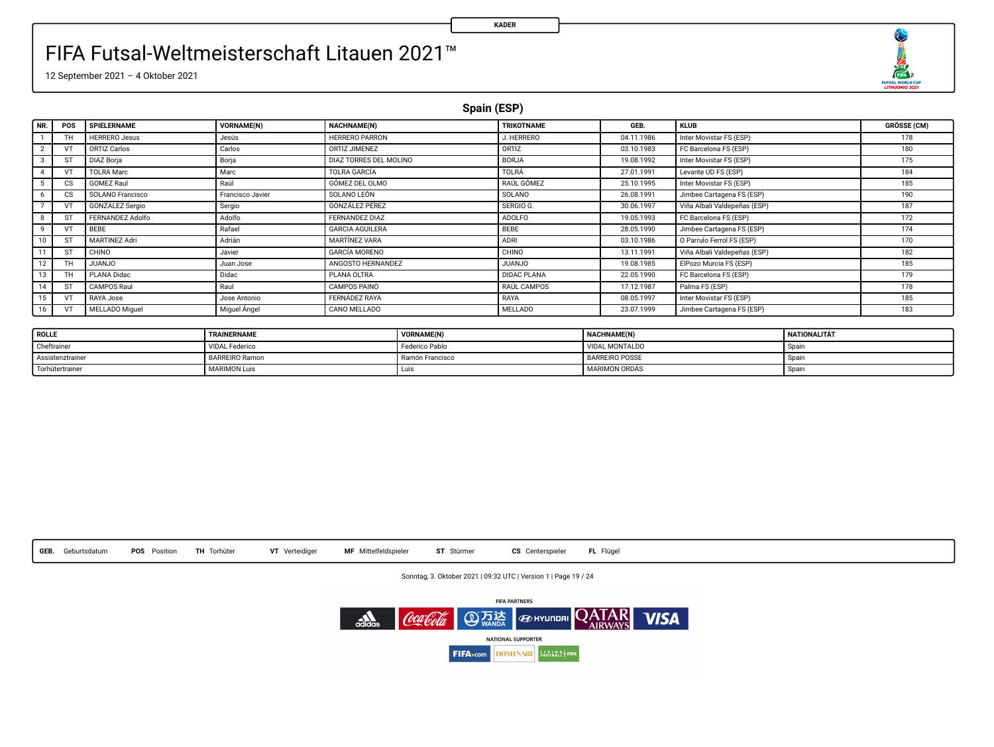

12 September 2021 – 4 Oktober 2021

**Spain (ESP)**

**KADER**

| NR. | POS                    | SPIELERNAME            | <b>VORNAME(N)</b> | NACHNAME(N)            | TRIKOTNAME         | GEB.       | <b>KLUB</b>                  | GRÖSSE (CM) |
|-----|------------------------|------------------------|-------------------|------------------------|--------------------|------------|------------------------------|-------------|
|     | TH                     | <b>HERRERO Jesus</b>   | Jesús             | HERRERO PARRON         | J. HERRERO         | 04.11.1986 | Inter Movistar FS (ESP)      | 178         |
|     |                        | ORTIZ Carlos           | Carlos            | ORTIZ JIMENEZ          | ORTIZ              | 03.10.1983 | FC Barcelona FS (ESP)        | 180         |
|     | ST                     | <b>DIAZ Boria</b>      | Borja             | DIAZ TORRES DEL MOLINO | <b>BORJA</b>       | 19.08.1992 | Inter Movistar FS (ESP)      | 175         |
|     |                        | <b>TOLRA Marc</b>      | Marc              | TOLRA GARCÍA           | TOLRÁ              | 27.01.1991 | Levante UD FS (ESP)          | 184         |
|     | $\overline{\text{cs}}$ | <b>GOMEZ Raul</b>      | Raúi              | GÓMEZ DEL OLMO         | RAÚL GÓMEZ         | 25.10.1995 | Inter Movistar FS (ESP)      | 185         |
|     | <b>CS</b>              | SOLANO Francisco       | Francisco Javier  | SOLANO LEÓN            | SOLANO             | 26.08.1991 | Jimbee Cartagena FS (ESP)    | 190         |
|     |                        | <b>GONZALEZ Sergio</b> | Sergio            | GONZÁLEZ PÉREZ         | SERGIO G.          | 30.06.1997 | Viña Albali Valdepeñas (ESP) | 187         |
|     | <b>ST</b>              | FERNANDEZ Adolfo       | Adolfo            | FERNANDEZ DIAZ         | ADOLFO             | 19.05.1993 | FC Barcelona FS (ESP)        | 172         |
|     | v                      | BEBE                   | Rafael            | <b>GARCIA AGUILERA</b> | BEBE               | 28.05.1990 | Jimbee Cartagena FS (ESP)    | 174         |
|     | <b>ST</b>              | <b>MARTINEZ Adri</b>   | Adrián            | <b>MARTINEZ VARA</b>   | ADRI               | 03.10.1986 | O Parrulo Ferrol FS (ESP)    | 170         |
|     | ST                     | CHINO                  | Javier            | <b>GARCÍA MORENO</b>   | CHINO              | 13.11.1991 | Viña Albali Valdepeñas (ESP) | 182         |
|     |                        | <b>OLIANJU</b>         | Juan Jose         | ANGOSTO HERNANDEZ      | <b>OLIANJU</b>     | 19.08.1985 | ElPozo Murcia FS (ESP)       | 185         |
|     |                        | PLANA Didac            | Didac             | PLANA OLTRA            | <b>DIDAC PLANA</b> | 22.05.1990 | FC Barcelona FS (ESP)        | 179         |
|     | <b>ST</b>              | CAMPOS Raul            | Raul              | CAMPOS PAINO           | RAÚL CAMPOS        | 17.12.1987 | Palma FS (ESP)               | 178         |
| 15  | VT                     | RAYA Jose              | Jose Antonio      | <b>FERNÁDEZ RAYA</b>   | RAYA               | 08.05.1997 | Inter Movistar FS (ESP)      | 185         |
| 16  |                        | <b>MELLADO Miquel</b>  | Miguel Angel      | CANO MELLADO           | <b>MELLADO</b>     | 23.07.1999 | Jimbee Cartagena FS (ESP)    | 183         |

| <b>ROLLE</b>     | TRAINERNAME           | VORNAME(N)      | NACHNAME(N)           | <b>NATIONALITÄT</b> |
|------------------|-----------------------|-----------------|-----------------------|---------------------|
| Cheftrainer      | <b>VIDAL Federico</b> | Federico Pablo  | VIDAL MONTALDO        | Spain               |
| Assistenztrainer | <b>BARREIRO Ramon</b> | Ramón Francisco | <b>BARREIRO POSSE</b> | Spai                |
| Torhütertrainer  | <b>MARIMON Luis</b>   | <b>LUS</b>      | <b>MARIMON ORDAS</b>  | Spain.              |



Sonntag, 3. Oktober 2021 | 09:32 UTC | Version 1 | Page 19 / 24

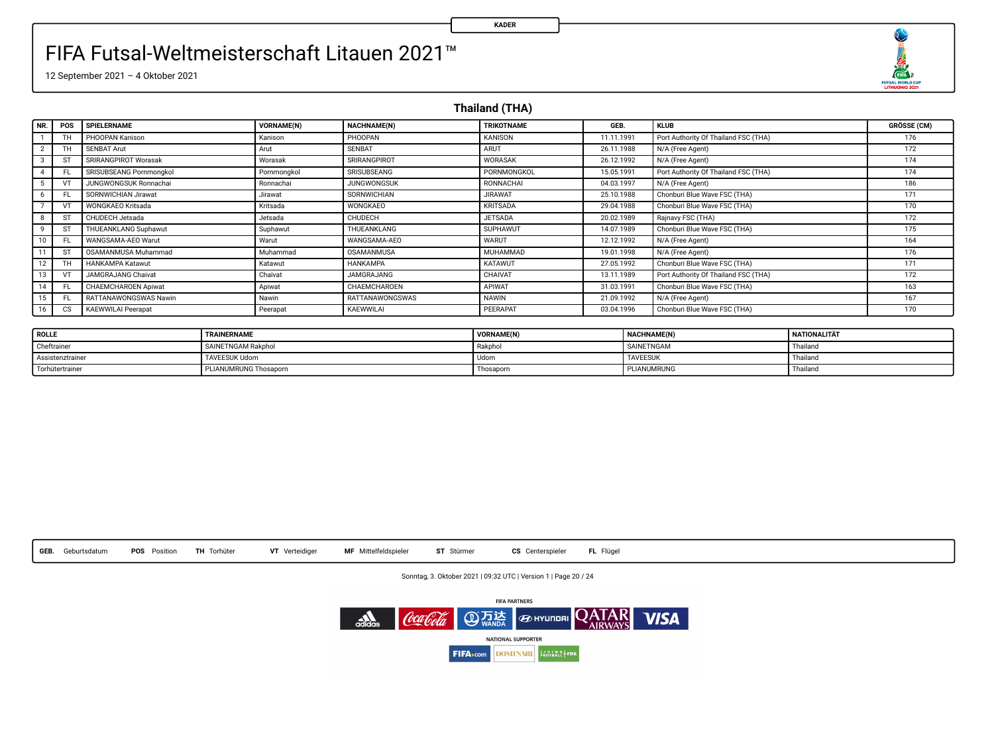

12 September 2021 – 4 Oktober 2021

**Thailand (THA)**

| NR.          | POS       | SPIELERNAME                  | <b>VORNAME(N)</b> | NACHNAME(N)            | TRIKOTNAME      | GEB.       | <b>KLUB</b>                          | <b>GRÖSSE (CM)</b> |
|--------------|-----------|------------------------------|-------------------|------------------------|-----------------|------------|--------------------------------------|--------------------|
|              | TH        | PHOOPAN Kanison              | Kanison           | PHOOPAN                | <b>KANISON</b>  | 11.11.1991 | Port Authority Of Thailand FSC (THA) | 176                |
|              | ΤН        | <b>SENBAT Arut</b>           | Ann               | <b>SENBAT</b>          | ARUT            | 26.11.1988 | N/A (Free Agent)                     | 172                |
| -3           | s         | SRIRANGPIROT Worasak         | Worasak           | SRIRANGPIROT           | WORASAK         | 26.12.1992 | N/A (Free Agent)                     | 174                |
|              | F)        | SRISUBSEANG Pornmonokol      | Pornmongkol       | SRISUBSEANG            | PORNMONGKOL     | 15.05.1991 | Port Authority Of Thailand FSC (THA) | 174                |
|              |           | <b>JUNGWONGSUK Ronnachai</b> | Ronnachai         | <b>JUNGWONGSUK</b>     | RONNACHAI       | 04.03.1997 | N/A (Free Agent)                     | 186                |
| 6            | FL.       | SORNWICHIAN Jirawat          | <b>Jirawat</b>    | SORNWICHIAN            | <b>JIRAWAT</b>  | 25.10.1988 | Chonburi Blue Wave FSC (THA)         | 171                |
|              |           | WONGKAEO Kritsada            | Kritsada          | WONGKAEO               | <b>KRITSADA</b> | 29.04.1988 | Chonburi Blue Wave FSC (THA)         | 170                |
|              | s         | CHUDECH Jetsada              | Jetsada           | CHUDECH                | <b>JETSADA</b>  | 20.02.1989 | Rajnavy FSC (THA)                    | 172                |
| $\mathbf{q}$ | ST        | THUEANKLANG Suphawut         | Suphawut          | THUEANKLANG            | SUPHAWUT        | 14.07.1989 | Chonburi Blue Wave FSC (THA)         | 175                |
| 10           |           | WANGSAMA-AEO Warut           | Warut             | WANGSAMA-AEO           | WARUT           | 12.12.1992 | N/A (Free Agent)                     | 164                |
|              | s         | OSAMANMUSA Muhammad          | Muhammad          | OSAMANMUSA             | MUHAMMAD        | 19.01.1998 | N/A (Free Agent)                     | 176                |
| 12           | TH.       | HANKAMPA Katawut             | Katawut           | <b>HANKAMPA</b>        | <b>KATAWUT</b>  | 27.05.1992 | Chonburi Blue Wave FSC (THA)         | 171                |
| 13           |           | JAMGRAJANG Chaivat           | Chaivat           | <b>JAMGRAJANG</b>      | CHAIVAT         | 13.11.1989 | Port Authority Of Thailand FSC (THA) | 172                |
| 14           | FL.       | CHAEMCHAROEN Apiwat          | Apiwat            | CHAEMCHAROEN           | APIWAT          | 31.03.1991 | Chonburi Blue Wave FSC (THA)         | 163                |
| 15           | FL.       | RATTANAWONGSWAS Nawin        | Nawin             | <b>RATTANAWONGSWAS</b> | <b>NAWIN</b>    | 21.09.1992 | N/A (Free Agent)                     | 167                |
| 16           | <b>CS</b> | <b>KAEWWILAI Peerapat</b>    | Peerapat          | KAEWWILAI              | PEERAPAT        | 03.04.1996 | Chonburi Blue Wave FSC (THA)         | 170                |

| <b>ROLLE</b>     | TRAINERNAME           | <b>VORNAME(N)</b> | <b>NACHNAME(N)</b> | NATIONALITÄ? |
|------------------|-----------------------|-------------------|--------------------|--------------|
| Cheftrainer      | SAINETNGAM Rakohol    | Rakohol           | <b>SAINETNGAM</b>  | Thailang     |
| Assistenztrainer | <b>TAVEESUK Udom</b>  | Udon              | <b>TAVEESUK</b>    | Thailang     |
| Torhütertrainer  | PLIANUMRUNG Thosaporn | Thosaporn         | PLIANUMRUNG        | Thailang     |



Sonntag, 3. Oktober 2021 | 09:32 UTC | Version 1 | Page 20 / 24

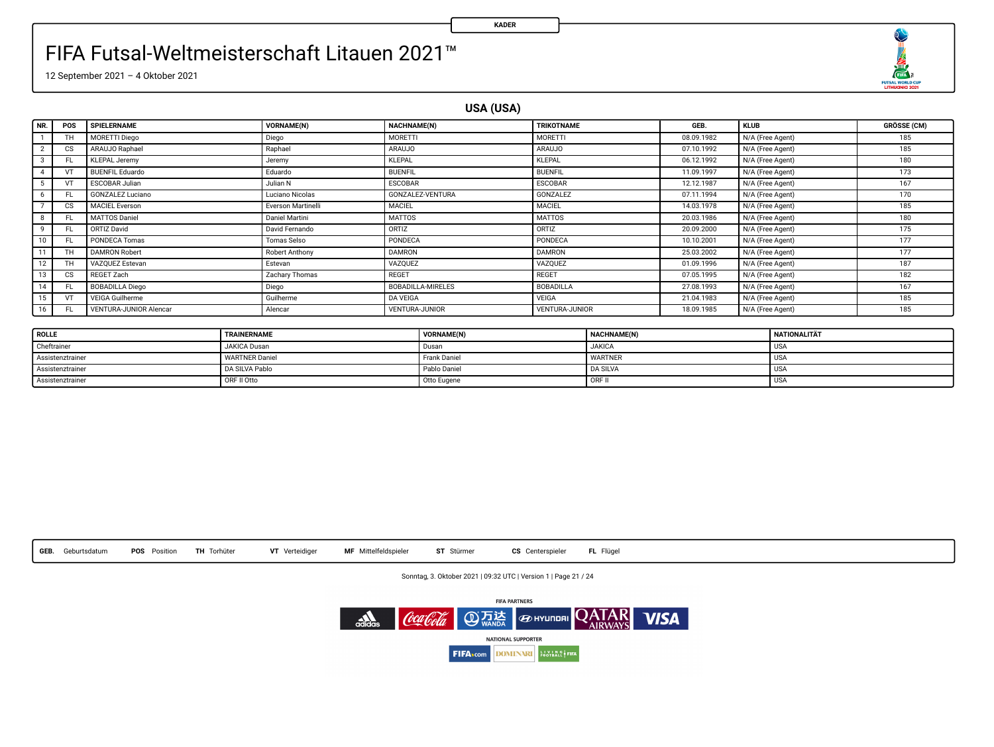

12 September 2021 – 4 Oktober 2021

**USA (USA)**

**KADER**

| NR.            | POS                    | SPIELERNAME                   | <b>VORNAME(N)</b>  | NACHNAME(N)              | <b>TRIKOTNAME</b>     | GEB.       | <b>KLUB</b>      | <b>GRÖSSE (CM)</b> |
|----------------|------------------------|-------------------------------|--------------------|--------------------------|-----------------------|------------|------------------|--------------------|
|                | TH                     | MORETTI Diego                 | Diego              | MORETTI                  | MORETTI               | 08.09.1982 | N/A (Free Agent) | 185                |
| $\overline{2}$ | <b>CS</b>              | ARAUJO Raphael                | Raphael            | <b>ARAUJO</b>            | ARAUJO                | 07.10.1992 | N/A (Free Agent) | 185                |
| 3              | FL.                    | <b>KLEPAL Jeremy</b>          | Jeremy             | <b>KLEPAL</b>            | <b>KLEPAL</b>         | 06.12.1992 | N/A (Free Agent) | 180                |
| $\overline{a}$ |                        | <b>BUENFIL Eduardo</b>        | Eduardo            | <b>BUENFIL</b>           | <b>BUENFIL</b>        | 11.09.1997 | N/A (Free Agent) | 173                |
|                |                        | ESCOBAR Julian                | Julian N           | <b>ESCOBAR</b>           | ESCOBAR               | 12.12.1987 | N/A (Free Agent) | 167                |
| 6              | FL.                    | <b>GONZALEZ Luciano</b>       | Luciano Nicolas    | GONZALEZ-VENTURA         | GONZALEZ              | 07.11.1994 | N/A (Free Agent) | 170                |
|                | <b>CS</b>              | <b>MACIEL Everson</b>         | Everson Martinelli | <b>MACIEL</b>            | <b>MACIEL</b>         | 14.03.1978 | N/A (Free Agent) | 185                |
| 8              | FL.                    | MATTOS Daniel                 | Daniel Martini     | <b>MATTOS</b>            | <b>MATTOS</b>         | 20.03.1986 | N/A (Free Agent) | 180                |
| 9              | FL.                    | ORTIZ David                   | David Fernando     | ORTIZ                    | ORTIZ                 | 20.09.2000 | N/A (Free Agent) | 175                |
| 10             | FL.                    | PONDECA Tomas                 | Tomas Selso        | PONDECA                  | PONDECA               | 10.10.2001 | N/A (Free Agent) | 177                |
| 11             | TH                     | <b>DAMRON Robert</b>          | Robert Anthony     | <b>DAMRON</b>            | <b>DAMRON</b>         | 25.03.2002 | N/A (Free Agent) | 177                |
| 12             | TH                     | VAZOUEZ Estevan               | Estevan            | VAZOUEZ                  | VAZOUEZ               | 01.09.1996 | N/A (Free Agent) | 187                |
| 13             | $\overline{\text{cs}}$ | REGET Zach                    | Zachary Thomas     | <b>REGET</b>             | <b>REGET</b>          | 07.05.1995 | N/A (Free Agent) | 182                |
| 14             | FL.                    | <b>BOBADILLA Diego</b>        | Diego              | <b>BOBADILLA-MIRELES</b> | BOBADILLA             | 27.08.1993 | N/A (Free Agent) | 167                |
| 15             | VT                     | <b>VEIGA Guilherme</b>        | Guilherme          | DA VEIGA                 | <b>VEIGA</b>          | 21.04.1983 | N/A (Free Agent) | 185                |
| 16             | FL.                    | <b>VENTURA-JUNIOR Alencar</b> | Alencar            | <b>VENTURA-JUNIOR</b>    | <b>VENTURA-JUNIOR</b> | 18.09.1985 | N/A (Free Agent) | 185                |

| <b>ROLLE</b>     | TRAINERNAME           | VORNAME(N)   | NACHNAME(N)     | <b>NATIONALITÄT</b> |
|------------------|-----------------------|--------------|-----------------|---------------------|
| Cheftrainer      | JAKICA Dusan          | Dusan        | <b>JAKICA</b>   | <b>USA</b>          |
| Assistenztrainer | <b>WARTNER Daniel</b> | Frank Daniel | <b>WARTNER</b>  | <b>USA</b>          |
| Assistenztrainer | DA SILVA Pablo        | Pablo Daniel | <b>DA SILVA</b> | <b>USA</b>          |
| Assistenztrainer | ORF II Otto           | Otto Eugene  | <b>TORF</b> h   | <b>USA</b>          |



Sonntag, 3. Oktober 2021 | 09:32 UTC | Version 1 | Page 21 / 24

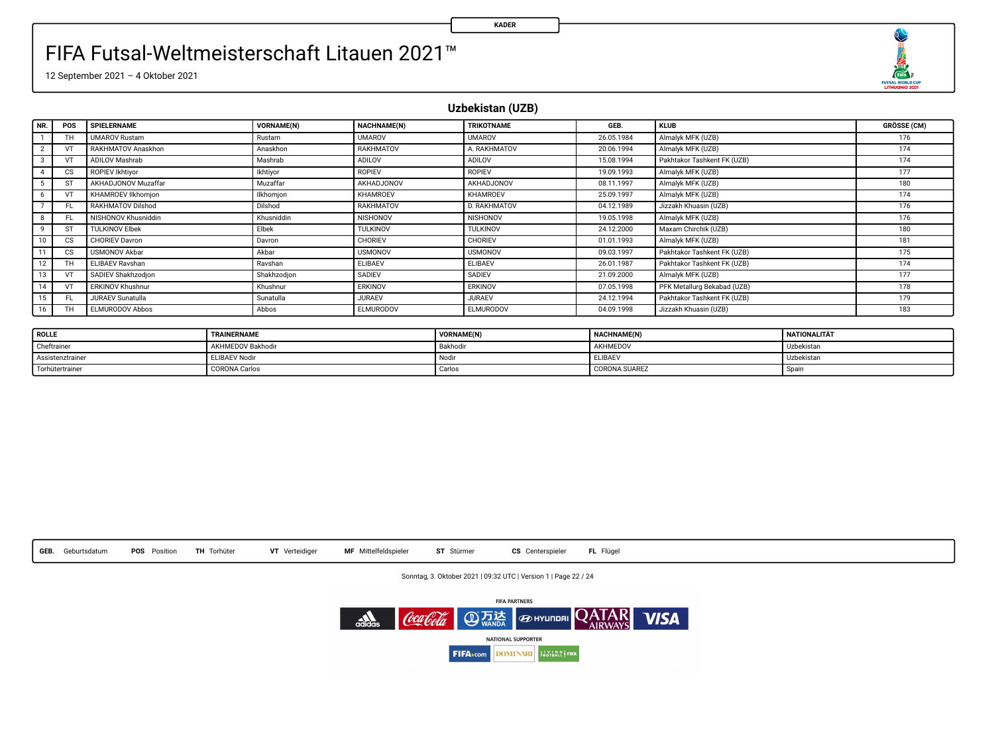O  $\frac{1}{\sqrt{2}}$ 

12 September 2021 – 4 Oktober 2021

**Uzbekistan (UZB)**

| NR.          | POS       | SPIELERNAME           | VORNAME(N)  | NACHNAME(N)      | TRIKOTNAME          | GEB.       | <b>KLUB</b>                 | <b>GRÖSSE (CM)</b> |
|--------------|-----------|-----------------------|-------------|------------------|---------------------|------------|-----------------------------|--------------------|
|              | TH.       | <b>UMAROV Rustam</b>  | Rustam      | <b>UMAROV</b>    | <b>UMAROV</b>       | 26.05.1984 | Almalyk MFK (UZB)           | 176                |
| $\sim$       | VT        | RAKHMATOV Anaskhon    | Anaskhon    | RAKHMATOV        | A. RAKHMATOV        | 20.06.1994 | Almalyk MFK (UZB)           | 174                |
|              | VT        | ADILOV Mashrab        | Mashrab     | ADILOV           | ADILOV              | 15.08.1994 | Pakhtakor Tashkent FK (UZB) | 174                |
|              | <b>CS</b> | ROPIEV Ikhtivor       | Ikhtivor    | ROPIEV           | <b>ROPIEV</b>       | 19.09.1993 | Almalyk MFK (UZB)           | 177                |
|              | ST        | AKHADJONOV Muzaffar   | Muzaffar    | AKHADJONOV       | AKHADJONOV          | 08.11.1997 | Almalyk MFK (UZB)           | 180                |
|              | VT        | KHAMROEV Ilkhomion    | Ilkhomion   | KHAMROEV         | KHAMROEV            | 25.09.1997 | Almalyk MFK (UZB)           | 174                |
|              | FL.       | RAKHMATOV Dilshod     | Dilshod     | RAKHMATOV        | <b>D. RAKHMATOV</b> | 04.12.1989 | Jizzakh Khuasin (UZB)       | 176                |
|              | FL.       | NISHONOV Khusniddin   | Khusniddin  | NISHONOV         | NISHONOV            | 19.05.1998 | Almalyk MFK (UZB)           | 176                |
| $\mathbf{Q}$ | ST        | <b>TULKINOV Elbek</b> | Elbek       | TULKINOV         | TULKINOV            | 24.12.2000 | Maxam Chirchik (UZB)        | 180                |
| 10           | cs        | <b>CHORIEV Davron</b> | Davron      | CHORIEV          | CHORIEV             | 01.01.1993 | Almalyk MFK (UZB)           | 181                |
| 11           | <b>CS</b> | <b>USMONOV Akbar</b>  | Akhar       | <b>USMONOV</b>   | <b>USMONOV</b>      | 09.03.1997 | Pakhtakor Tashkent FK (UZB) | 175                |
| 12           | TH        | ELIBAEV Rayshan       | Rayshan     | ELIBAEV          | ELIBAEV             | 26.01.1987 | Pakhtakor Tashkent FK (UZB) | 174                |
| 13           | VT        | SADIEV Shakhzodion    | Shakhzodion | SADIEV           | SADIEV              | 21.09.2000 | Almalyk MFK (UZB)           | 177                |
| 14           | VT        | ERKINOV Khushnur      | Khushnur    | ERKINOV          | ERKINOV             | 07.05.1998 | PFK Metallurg Bekabad (UZB) | 178                |
| 15           | FL.       | JURAEV Sunatulla      | Sunatulla   | <b>JURAEV</b>    | <b>JURAEV</b>       | 24.12.1994 | Pakhtakor Tashkent FK (UZB) | 179                |
| 16           | TH        | ELMURODOV Abbos       | Abbos       | <b>ELMURODOV</b> | ELMURODOV           | 04.09.1998 | Jizzakh Khuasin (UZB)       | 183                |

| <b>ROLLE</b>     | TRAINERNAME          | <b>VORNAME(N</b>  | <b>NACHNAME(N)</b> | NATIONALITÄT |
|------------------|----------------------|-------------------|--------------------|--------------|
| Cheftrainer      | AKHMEDOV Bakhodir    | Bakhodi           | AKHMEDOV           | Uzbekistan   |
| Assistenztrainer | <b>ELIBAEV Nodir</b> | Nodi <sub>1</sub> | ELIBAE\            | Uzbekistan   |
| Torhütertrainer  | <b>CORONA Carlos</b> | Carlos            | CORONA SUAREZ      | Spain        |



Sonntag, 3. Oktober 2021 | 09:32 UTC | Version 1 | Page 22 / 24

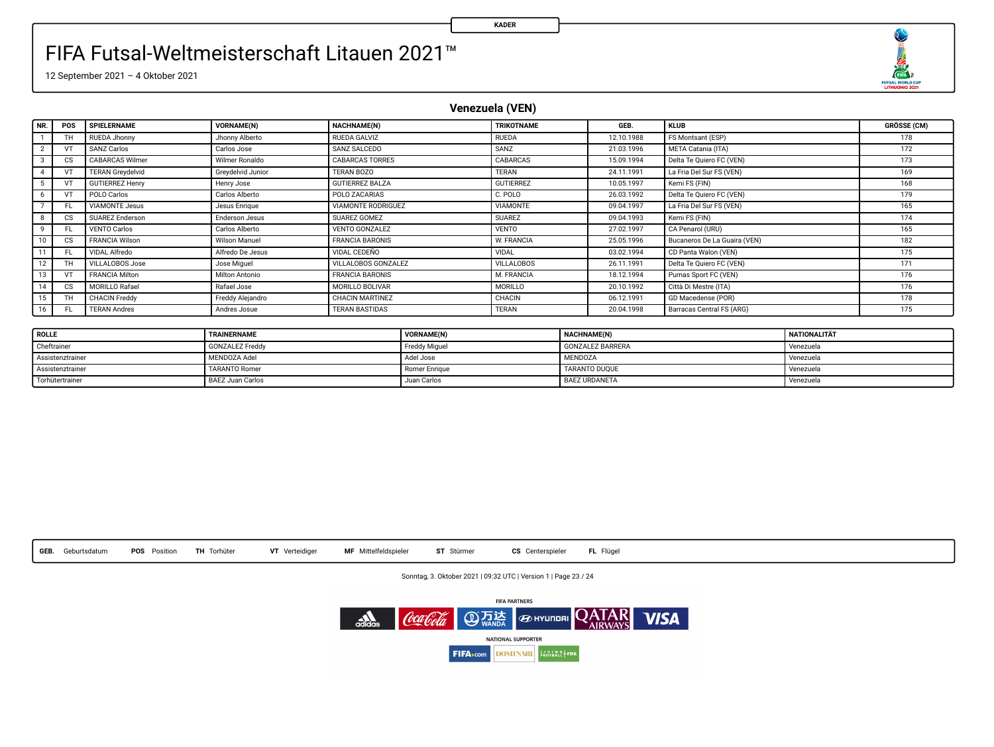

12 September 2021 – 4 Oktober 2021

**Venezuela (VEN)**

| NR. | POS           | SPIELERNAME             | <b>VORNAME(N)</b> | NACHNAME(N)            | TRIKOTNAME        | GEB.       | <b>KLUB</b>                  | <b>GRÖSSE (CM)</b> |
|-----|---------------|-------------------------|-------------------|------------------------|-------------------|------------|------------------------------|--------------------|
|     |               | RUEDA Jhonny            | Jhonny Alberto    | RUEDA GALVIZ           | <b>RUEDA</b>      | 12.10.1988 | FS Montsant (ESP)            | 178                |
|     |               | <b>SANZ Carlos</b>      | Carlos Jose       | SANZ SALCEDO           | SANZ              | 21.03.1996 | META Catania (ITA)           | 172                |
|     | CS            | <b>CABARCAS Wilmer</b>  | Wilmer Ronaldo    | <b>CABARCAS TORRES</b> | CABARCAS          | 15.09.1994 | Delta Te Quiero FC (VEN)     | 173                |
|     |               | <b>TERAN Grevdelvid</b> | Grevdelvid Junior | TERAN BOZO             | TERAN             | 24.11.1991 | La Fria Del Sur FS (VEN)     | 169                |
|     |               | <b>GUTIERREZ Henry</b>  | Henry Jose        | <b>GUTIERREZ BALZA</b> | <b>GUTIERREZ</b>  | 10.05.1997 | Kemi FS (FIN)                | 168                |
|     |               | POLO Carlos             | Carlos Alberto    | POLO ZACARIAS          | C. POLO           | 26.03.1992 | Delta Te Quiero FC (VEN)     | 179                |
|     | FL            | <b>VIAMONTE Jesus</b>   | Jesus Enrique     | VIAMONTE RODRIGUEZ     | VIAMONTE          | 09.04.1997 | La Fria Del Sur FS (VEN)     | 165                |
|     | <sub>cs</sub> | SUAREZ Enderson         | Enderson Jesus    | SUAREZ GOMEZ           | <b>SUAREZ</b>     | 09.04.1993 | Kemi FS (FIN)                | 174                |
|     | FL            | <b>VENTO Carlos</b>     | Carlos Alberto    | VENTO GONZALEZ         | VENTO             | 27.02.1997 | CA Penarol (URU)             | 165                |
|     | <sub>cs</sub> | <b>FRANCIA Wilson</b>   | Wilson Manuel     | <b>FRANCIA BARONIS</b> | W. FRANCIA        | 25.05.1996 | Bucaneros De La Guaira (VEN) | 182                |
|     | FL            | VIDAL Alfredo           | Alfredo De Jesus  | VIDAL CEDENO           | VIDAL             | 03.02.1994 | CD Panta Walon (VEN)         | 175                |
| 12  |               | VILLALOBOS Jose         | Jose Miguel       | VILLALOBOS GONZALEZ    | <b>VILLALOBOS</b> | 26.11.1991 | Delta Te Quiero FC (VEN)     | 171                |
|     |               | <b>FRANCIA Milton</b>   | Milton Antonio    | <b>FRANCIA BARONIS</b> | M. FRANCIA        | 18.12.1994 | Pumas Sport FC (VEN)         | 176                |
|     | CS            | MORILLO Rafael          | Rafael Jose       | MORILLO BOLIVAR        | <b>MORILLO</b>    | 20.10.1992 | Città Di Mestre (ITA)        | 176                |
| 15  | TH            | <b>CHACIN Freddy</b>    | Freddy Alejandro  | CHACIN MARTINEZ        | CHACIN            | 06.12.1991 | GD Macedense (POR)           | 178                |
| 16  | FL.           | <b>TERAN Andres</b>     | Andres Josue      | <b>TERAN BASTIDAS</b>  | <b>TERAN</b>      | 20.04.1998 | Barracas Central FS (ARG)    | 175                |

| <b>ROLLE</b>     | TRAINERNAME             | <b>VORNAME(N)</b> | <b>NACHNAME(N)</b>      | <b>NATIONALITÄT</b> |
|------------------|-------------------------|-------------------|-------------------------|---------------------|
| Cheftrainer      | <b>GONZALEZ Freddy</b>  | Freddy Miguel     | <b>GONZALEZ BARRERA</b> | Venezuela           |
| Assistenztrainer | MENDOZA Adel            | Adel Jose         | MENDOZA                 | Venezuela           |
| Assistenztrainer | <b>TARANTO Romer</b>    | Romer Enrique     | TARANTO DUOUE           | Venezuela           |
| Torhütertrainer  | <b>BAEZ Juan Carlos</b> | Juan Carlos       | <b>BAEZ URDANETA</b>    | Venezuela           |



Sonntag, 3. Oktober 2021 | 09:32 UTC | Version 1 | Page 23 / 24